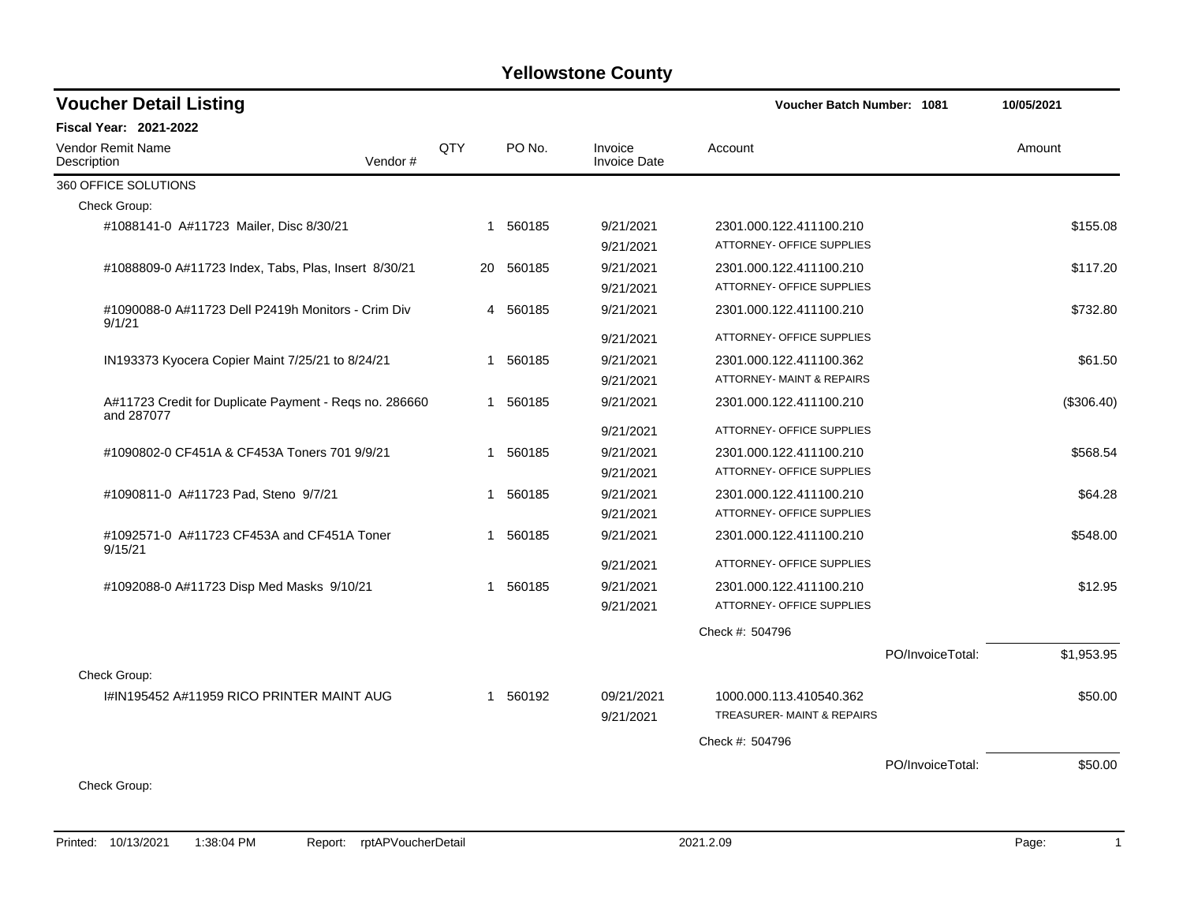| <b>Voucher Detail Listing</b>                                        |     |           |                                | <b>Voucher Batch Number: 1081</b>                    |                  | 10/05/2021 |
|----------------------------------------------------------------------|-----|-----------|--------------------------------|------------------------------------------------------|------------------|------------|
| <b>Fiscal Year: 2021-2022</b>                                        |     |           |                                |                                                      |                  |            |
| <b>Vendor Remit Name</b><br>Vendor#<br>Description                   | QTY | PO No.    | Invoice<br><b>Invoice Date</b> | Account                                              |                  | Amount     |
| 360 OFFICE SOLUTIONS                                                 |     |           |                                |                                                      |                  |            |
| Check Group:                                                         |     |           |                                |                                                      |                  |            |
| #1088141-0 A#11723 Mailer, Disc 8/30/21                              | -1  | 560185    | 9/21/2021                      | 2301.000.122.411100.210                              |                  | \$155.08   |
|                                                                      |     |           | 9/21/2021                      | ATTORNEY- OFFICE SUPPLIES                            |                  |            |
| #1088809-0 A#11723 Index, Tabs, Plas, Insert 8/30/21                 |     | 20 560185 | 9/21/2021                      | 2301.000.122.411100.210                              |                  | \$117.20   |
|                                                                      |     |           | 9/21/2021                      | ATTORNEY- OFFICE SUPPLIES                            |                  |            |
| #1090088-0 A#11723 Dell P2419h Monitors - Crim Div<br>9/1/21         | 4   | 560185    | 9/21/2021                      | 2301.000.122.411100.210                              |                  | \$732.80   |
|                                                                      |     |           | 9/21/2021                      | ATTORNEY- OFFICE SUPPLIES                            |                  |            |
| IN193373 Kyocera Copier Maint 7/25/21 to 8/24/21                     | 1   | 560185    | 9/21/2021                      | 2301.000.122.411100.362                              |                  | \$61.50    |
|                                                                      |     |           | 9/21/2021                      | ATTORNEY- MAINT & REPAIRS                            |                  |            |
| A#11723 Credit for Duplicate Payment - Reqs no. 286660<br>and 287077 |     | 1 560185  | 9/21/2021                      | 2301.000.122.411100.210                              |                  | (\$306.40) |
|                                                                      |     |           | 9/21/2021                      | ATTORNEY- OFFICE SUPPLIES                            |                  |            |
| #1090802-0 CF451A & CF453A Toners 701 9/9/21                         | 1   | 560185    | 9/21/2021                      | 2301.000.122.411100.210                              |                  | \$568.54   |
|                                                                      |     |           | 9/21/2021                      | ATTORNEY- OFFICE SUPPLIES                            |                  |            |
| #1090811-0 A#11723 Pad, Steno 9/7/21                                 | 1   | 560185    | 9/21/2021                      | 2301.000.122.411100.210                              |                  | \$64.28    |
|                                                                      |     |           | 9/21/2021                      | ATTORNEY- OFFICE SUPPLIES                            |                  |            |
| #1092571-0 A#11723 CF453A and CF451A Toner<br>9/15/21                |     | 1 560185  | 9/21/2021                      | 2301.000.122.411100.210                              |                  | \$548.00   |
|                                                                      |     |           | 9/21/2021                      | ATTORNEY- OFFICE SUPPLIES                            |                  |            |
| #1092088-0 A#11723 Disp Med Masks 9/10/21                            |     | 1 560185  | 9/21/2021                      | 2301.000.122.411100.210                              |                  | \$12.95    |
|                                                                      |     |           | 9/21/2021                      | ATTORNEY- OFFICE SUPPLIES                            |                  |            |
|                                                                      |     |           |                                | Check #: 504796                                      |                  |            |
|                                                                      |     |           |                                |                                                      | PO/InvoiceTotal: | \$1,953.95 |
| Check Group:                                                         |     |           |                                |                                                      |                  |            |
| I#IN195452 A#11959 RICO PRINTER MAINT AUG                            |     | 1 560192  | 09/21/2021<br>9/21/2021        | 1000.000.113.410540.362<br>TREASURER-MAINT & REPAIRS |                  | \$50.00    |
|                                                                      |     |           |                                | Check #: 504796                                      |                  |            |
|                                                                      |     |           |                                |                                                      | PO/InvoiceTotal: | \$50.00    |
| Check Group:                                                         |     |           |                                |                                                      |                  |            |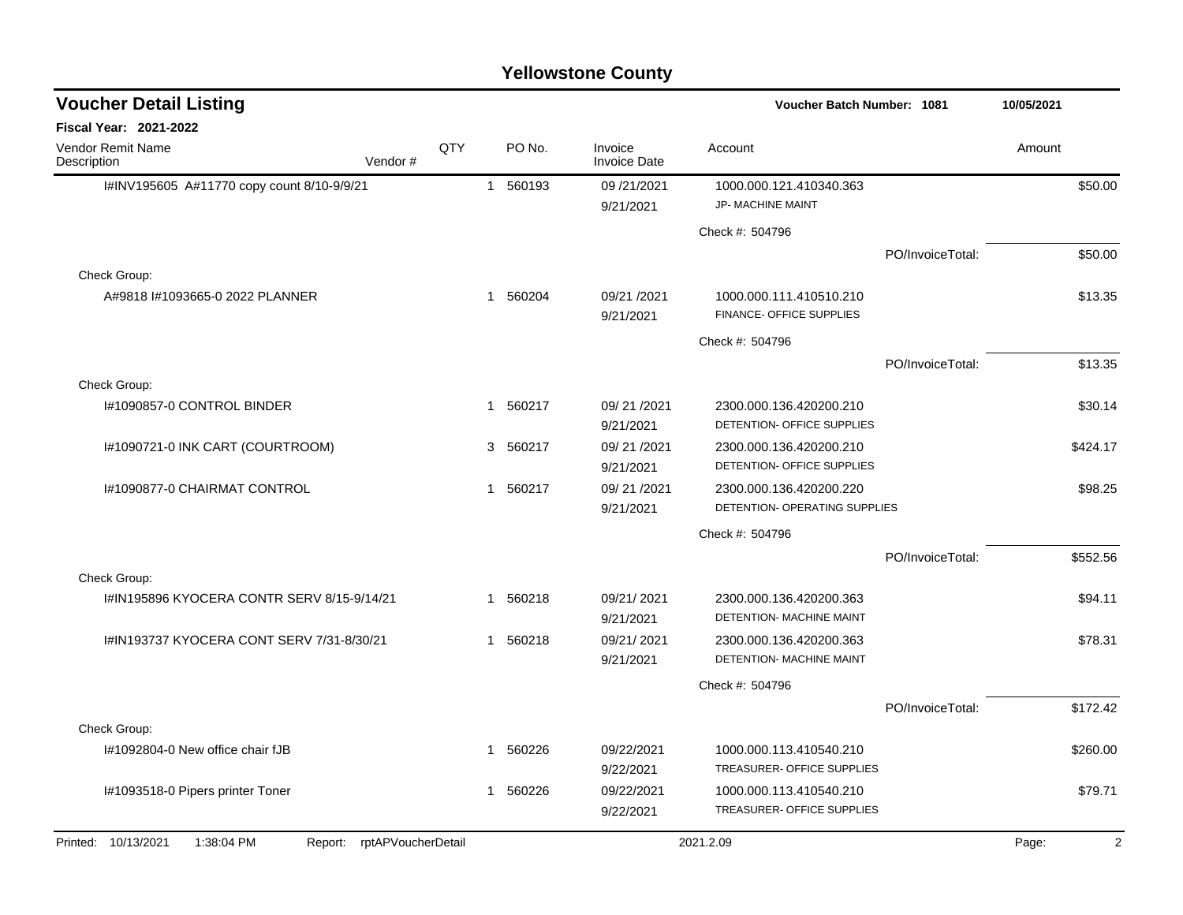| <b>Voucher Detail Listing</b>                                   |     |              |          |                                | Voucher Batch Number: 1081                                      |                  | 10/05/2021 |
|-----------------------------------------------------------------|-----|--------------|----------|--------------------------------|-----------------------------------------------------------------|------------------|------------|
| Fiscal Year: 2021-2022                                          |     |              |          |                                |                                                                 |                  |            |
| <b>Vendor Remit Name</b><br>Vendor#<br>Description              | QTY |              | PO No.   | Invoice<br><b>Invoice Date</b> | Account                                                         |                  | Amount     |
| I#INV195605 A#11770 copy count 8/10-9/9/21                      |     |              | 1 560193 | 09/21/2021<br>9/21/2021        | 1000.000.121.410340.363<br>JP- MACHINE MAINT                    |                  | \$50.00    |
|                                                                 |     |              |          |                                | Check #: 504796                                                 |                  |            |
|                                                                 |     |              |          |                                |                                                                 | PO/InvoiceTotal: | \$50.00    |
| Check Group:                                                    |     |              |          |                                |                                                                 |                  |            |
| A#9818 #1093665-0 2022 PLANNER                                  |     | $\mathbf{1}$ | 560204   | 09/21 /2021<br>9/21/2021       | 1000.000.111.410510.210<br>FINANCE- OFFICE SUPPLIES             |                  | \$13.35    |
|                                                                 |     |              |          |                                | Check #: 504796                                                 |                  |            |
|                                                                 |     |              |          |                                |                                                                 | PO/InvoiceTotal: | \$13.35    |
| Check Group:                                                    |     |              |          |                                |                                                                 |                  |            |
| I#1090857-0 CONTROL BINDER                                      |     |              | 1 560217 | 09/21/2021<br>9/21/2021        | 2300.000.136.420200.210<br>DETENTION- OFFICE SUPPLIES           |                  | \$30.14    |
| I#1090721-0 INK CART (COURTROOM)                                |     | 3            | 560217   | 09/21/2021<br>9/21/2021        | 2300.000.136.420200.210<br>DETENTION- OFFICE SUPPLIES           |                  | \$424.17   |
| I#1090877-0 CHAIRMAT CONTROL                                    |     | $\mathbf{1}$ | 560217   | 09/21/2021<br>9/21/2021        | 2300.000.136.420200.220<br><b>DETENTION- OPERATING SUPPLIES</b> |                  | \$98.25    |
|                                                                 |     |              |          |                                | Check #: 504796                                                 |                  |            |
|                                                                 |     |              |          |                                |                                                                 | PO/InvoiceTotal: | \$552.56   |
| Check Group:                                                    |     |              |          |                                |                                                                 |                  |            |
| I#IN195896 KYOCERA CONTR SERV 8/15-9/14/21                      |     | 1            | 560218   | 09/21/2021<br>9/21/2021        | 2300.000.136.420200.363<br>DETENTION- MACHINE MAINT             |                  | \$94.11    |
| I#IN193737 KYOCERA CONT SERV 7/31-8/30/21                       |     | $\mathbf{1}$ | 560218   | 09/21/2021<br>9/21/2021        | 2300.000.136.420200.363<br>DETENTION- MACHINE MAINT             |                  | \$78.31    |
|                                                                 |     |              |          |                                | Check #: 504796                                                 |                  |            |
|                                                                 |     |              |          |                                |                                                                 | PO/InvoiceTotal: | \$172.42   |
| Check Group:                                                    |     |              |          |                                |                                                                 |                  |            |
| I#1092804-0 New office chair fJB                                |     |              | 1 560226 | 09/22/2021<br>9/22/2021        | 1000.000.113.410540.210<br>TREASURER- OFFICE SUPPLIES           |                  | \$260.00   |
| I#1093518-0 Pipers printer Toner                                |     | 1            | 560226   | 09/22/2021<br>9/22/2021        | 1000.000.113.410540.210<br>TREASURER- OFFICE SUPPLIES           |                  | \$79.71    |
| Printed: 10/13/2021<br>1:38:04 PM<br>Report: rptAPVoucherDetail |     |              |          |                                | 2021.2.09                                                       |                  | Page:<br>2 |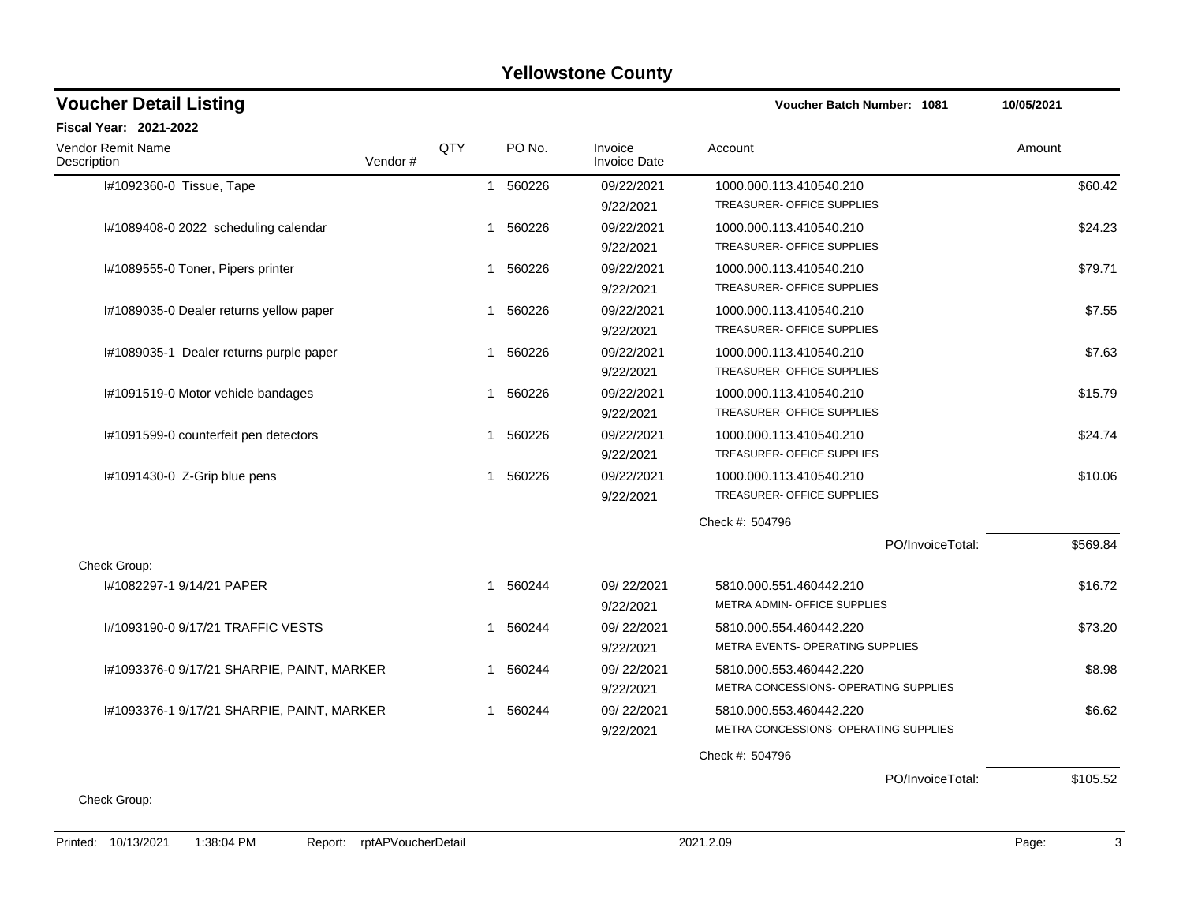| <b>Voucher Detail Listing</b>              |         |     |                       |                                | Voucher Batch Number: 1081                                       | 10/05/2021 |
|--------------------------------------------|---------|-----|-----------------------|--------------------------------|------------------------------------------------------------------|------------|
| <b>Fiscal Year: 2021-2022</b>              |         |     |                       |                                |                                                                  |            |
| Vendor Remit Name<br>Description           | Vendor# | QTY | PO No.                | Invoice<br><b>Invoice Date</b> | Account                                                          | Amount     |
| I#1092360-0 Tissue, Tape                   |         |     | 1 560226              | 09/22/2021<br>9/22/2021        | 1000.000.113.410540.210<br>TREASURER- OFFICE SUPPLIES            | \$60.42    |
| I#1089408-0 2022 scheduling calendar       |         |     | 560226<br>-1          | 09/22/2021<br>9/22/2021        | 1000.000.113.410540.210<br>TREASURER- OFFICE SUPPLIES            | \$24.23    |
| I#1089555-0 Toner, Pipers printer          |         |     | 1 560226              | 09/22/2021<br>9/22/2021        | 1000.000.113.410540.210<br>TREASURER- OFFICE SUPPLIES            | \$79.71    |
| I#1089035-0 Dealer returns yellow paper    |         |     | 1 560226              | 09/22/2021<br>9/22/2021        | 1000.000.113.410540.210<br><b>TREASURER- OFFICE SUPPLIES</b>     | \$7.55     |
| I#1089035-1 Dealer returns purple paper    |         |     | 560226<br>-1          | 09/22/2021<br>9/22/2021        | 1000.000.113.410540.210<br>TREASURER- OFFICE SUPPLIES            | \$7.63     |
| I#1091519-0 Motor vehicle bandages         |         |     | 560226<br>1           | 09/22/2021<br>9/22/2021        | 1000.000.113.410540.210<br>TREASURER- OFFICE SUPPLIES            | \$15.79    |
| I#1091599-0 counterfeit pen detectors      |         |     | 1 560226              | 09/22/2021<br>9/22/2021        | 1000.000.113.410540.210<br>TREASURER- OFFICE SUPPLIES            | \$24.74    |
| I#1091430-0 Z-Grip blue pens               |         |     | 560226<br>$\mathbf 1$ | 09/22/2021<br>9/22/2021        | 1000.000.113.410540.210<br>TREASURER- OFFICE SUPPLIES            | \$10.06    |
|                                            |         |     |                       |                                | Check #: 504796                                                  |            |
| Check Group:                               |         |     |                       |                                | PO/InvoiceTotal:                                                 | \$569.84   |
| #1082297-1 9/14/21 PAPER                   |         |     | 560244<br>$\mathbf 1$ | 09/22/2021<br>9/22/2021        | 5810.000.551.460442.210<br>METRA ADMIN- OFFICE SUPPLIES          | \$16.72    |
| I#1093190-0 9/17/21 TRAFFIC VESTS          |         |     | 560244<br>-1          | 09/22/2021<br>9/22/2021        | 5810.000.554.460442.220<br>METRA EVENTS- OPERATING SUPPLIES      | \$73.20    |
| I#1093376-0 9/17/21 SHARPIE, PAINT, MARKER |         |     | 1 560244              | 09/22/2021<br>9/22/2021        | 5810.000.553.460442.220<br>METRA CONCESSIONS- OPERATING SUPPLIES | \$8.98     |
| I#1093376-1 9/17/21 SHARPIE, PAINT, MARKER |         |     | 1 560244              | 09/22/2021<br>9/22/2021        | 5810.000.553.460442.220<br>METRA CONCESSIONS- OPERATING SUPPLIES | \$6.62     |
|                                            |         |     |                       |                                | Check #: 504796                                                  |            |
|                                            |         |     |                       |                                | PO/InvoiceTotal:                                                 | \$105.52   |
| Check Group:                               |         |     |                       |                                |                                                                  |            |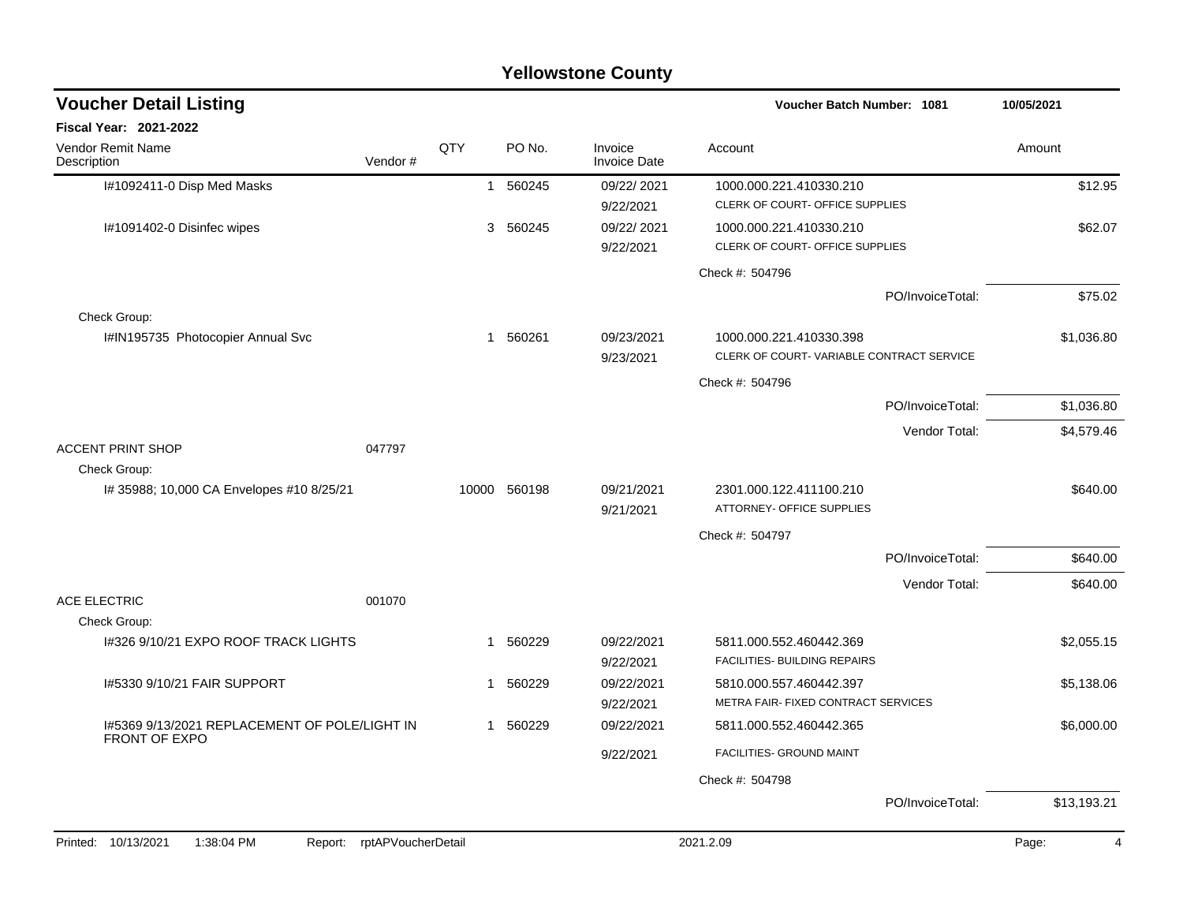| <b>Voucher Detail Listing</b>                                         |                    |              |              |                                | <b>Voucher Batch Number: 1081</b>        |                  | 10/05/2021              |
|-----------------------------------------------------------------------|--------------------|--------------|--------------|--------------------------------|------------------------------------------|------------------|-------------------------|
| <b>Fiscal Year: 2021-2022</b>                                         |                    |              |              |                                |                                          |                  |                         |
| Vendor Remit Name<br>Description                                      | Vendor#            | QTY          | PO No.       | Invoice<br><b>Invoice Date</b> | Account                                  |                  | Amount                  |
| I#1092411-0 Disp Med Masks                                            |                    |              | 1 560245     | 09/22/2021                     | 1000.000.221.410330.210                  |                  | \$12.95                 |
|                                                                       |                    |              |              | 9/22/2021                      | CLERK OF COURT- OFFICE SUPPLIES          |                  |                         |
| I#1091402-0 Disinfec wipes                                            |                    |              | 3 560245     | 09/22/2021                     | 1000.000.221.410330.210                  |                  | \$62.07                 |
|                                                                       |                    |              |              | 9/22/2021                      | CLERK OF COURT- OFFICE SUPPLIES          |                  |                         |
|                                                                       |                    |              |              |                                | Check #: 504796                          |                  |                         |
|                                                                       |                    |              |              |                                |                                          | PO/InvoiceTotal: | \$75.02                 |
| Check Group:                                                          |                    |              |              |                                |                                          |                  |                         |
| I#IN195735 Photocopier Annual Svc                                     |                    |              | 1 560261     | 09/23/2021                     | 1000.000.221.410330.398                  |                  | \$1,036.80              |
|                                                                       |                    |              |              | 9/23/2021                      | CLERK OF COURT-VARIABLE CONTRACT SERVICE |                  |                         |
|                                                                       |                    |              |              |                                | Check #: 504796                          |                  |                         |
|                                                                       |                    |              |              |                                |                                          | PO/InvoiceTotal: | \$1,036.80              |
|                                                                       |                    |              |              |                                |                                          | Vendor Total:    | \$4,579.46              |
| <b>ACCENT PRINT SHOP</b>                                              | 047797             |              |              |                                |                                          |                  |                         |
| Check Group:                                                          |                    |              |              |                                |                                          |                  |                         |
| I# 35988; 10,000 CA Envelopes #10 8/25/21                             |                    |              | 10000 560198 | 09/21/2021                     | 2301.000.122.411100.210                  |                  | \$640.00                |
|                                                                       |                    |              |              | 9/21/2021                      | ATTORNEY- OFFICE SUPPLIES                |                  |                         |
|                                                                       |                    |              |              |                                | Check #: 504797                          |                  |                         |
|                                                                       |                    |              |              |                                |                                          | PO/InvoiceTotal: | \$640.00                |
|                                                                       |                    |              |              |                                |                                          | Vendor Total:    | \$640.00                |
| <b>ACE ELECTRIC</b>                                                   | 001070             |              |              |                                |                                          |                  |                         |
| Check Group:                                                          |                    |              |              |                                |                                          |                  |                         |
| 1#326 9/10/21 EXPO ROOF TRACK LIGHTS                                  |                    | $\mathbf{1}$ | 560229       | 09/22/2021                     | 5811.000.552.460442.369                  |                  | \$2,055.15              |
|                                                                       |                    |              |              | 9/22/2021                      | FACILITIES- BUILDING REPAIRS             |                  |                         |
| 1#5330 9/10/21 FAIR SUPPORT                                           |                    | $\mathbf{1}$ | 560229       | 09/22/2021                     | 5810.000.557.460442.397                  |                  | \$5,138.06              |
|                                                                       |                    |              |              | 9/22/2021                      | METRA FAIR- FIXED CONTRACT SERVICES      |                  |                         |
| 1#5369 9/13/2021 REPLACEMENT OF POLE/LIGHT IN<br><b>FRONT OF EXPO</b> |                    |              | 1 560229     | 09/22/2021                     | 5811.000.552.460442.365                  |                  | \$6,000.00              |
|                                                                       |                    |              |              | 9/22/2021                      | FACILITIES- GROUND MAINT                 |                  |                         |
|                                                                       |                    |              |              |                                | Check #: 504798                          |                  |                         |
|                                                                       |                    |              |              |                                |                                          | PO/InvoiceTotal: | \$13,193.21             |
|                                                                       |                    |              |              |                                |                                          |                  |                         |
| Printed: 10/13/2021<br>1:38:04 PM<br>Report:                          | rptAPVoucherDetail |              |              |                                | 2021.2.09                                |                  | Page:<br>$\overline{4}$ |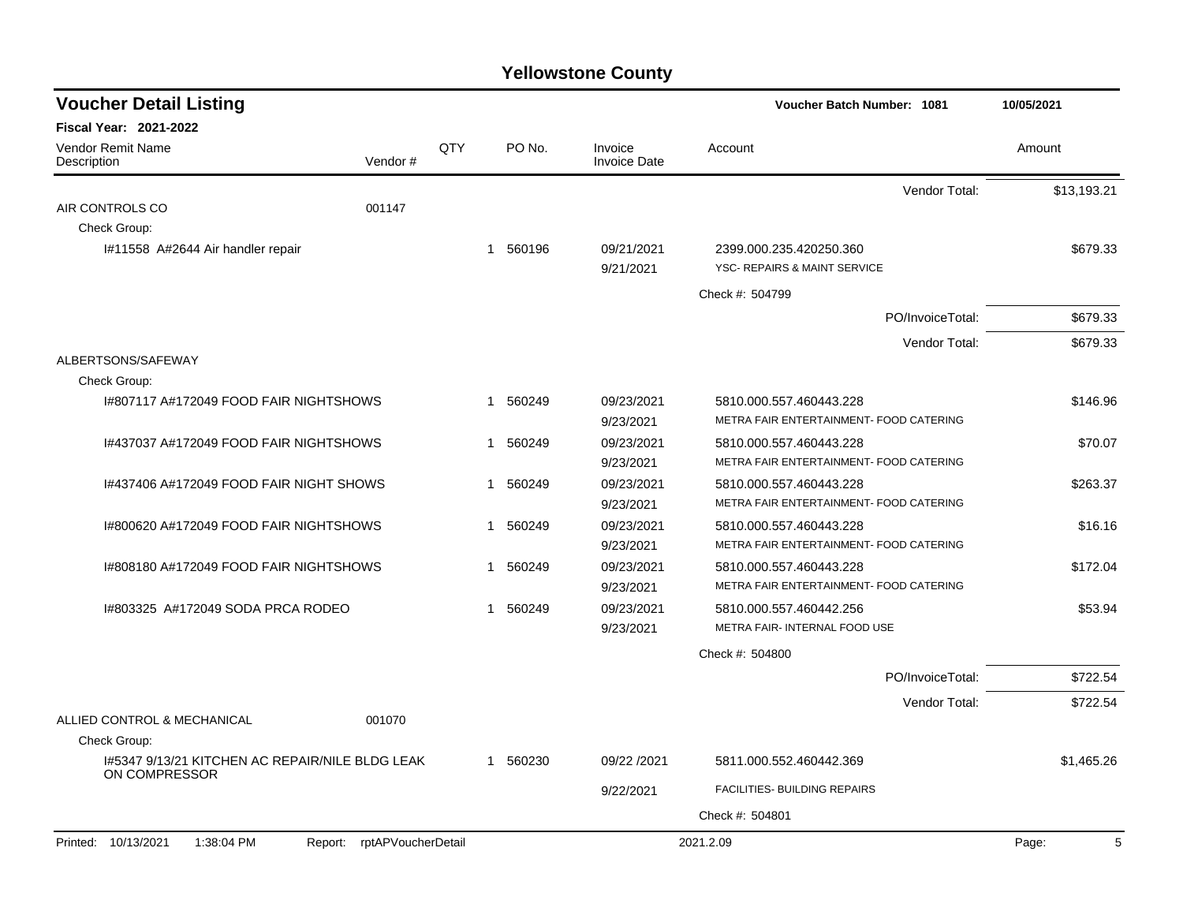| <b>Voucher Detail Listing</b>                                    |                    |     |             |                                | <b>Voucher Batch Number: 1081</b>       | 10/05/2021  |
|------------------------------------------------------------------|--------------------|-----|-------------|--------------------------------|-----------------------------------------|-------------|
| <b>Fiscal Year: 2021-2022</b>                                    |                    |     |             |                                |                                         |             |
| Vendor Remit Name<br>Description                                 | Vendor#            | QTY | PO No.      | Invoice<br><b>Invoice Date</b> | Account                                 | Amount      |
|                                                                  |                    |     |             |                                | Vendor Total:                           | \$13,193.21 |
| AIR CONTROLS CO                                                  | 001147             |     |             |                                |                                         |             |
| Check Group:                                                     |                    |     |             |                                |                                         |             |
| I#11558 A#2644 Air handler repair                                |                    |     | 1 560196    | 09/21/2021                     | 2399.000.235.420250.360                 | \$679.33    |
|                                                                  |                    |     |             | 9/21/2021                      | YSC- REPAIRS & MAINT SERVICE            |             |
|                                                                  |                    |     |             |                                | Check #: 504799                         |             |
|                                                                  |                    |     |             |                                | PO/InvoiceTotal:                        | \$679.33    |
|                                                                  |                    |     |             |                                | Vendor Total:                           | \$679.33    |
| ALBERTSONS/SAFEWAY<br>Check Group:                               |                    |     |             |                                |                                         |             |
| I#807117 A#172049 FOOD FAIR NIGHTSHOWS                           |                    |     | 560249<br>1 | 09/23/2021                     | 5810.000.557.460443.228                 | \$146.96    |
|                                                                  |                    |     |             | 9/23/2021                      | METRA FAIR ENTERTAINMENT- FOOD CATERING |             |
| 1#437037 A#172049 FOOD FAIR NIGHTSHOWS                           |                    |     | 560249<br>1 | 09/23/2021                     | 5810.000.557.460443.228                 | \$70.07     |
|                                                                  |                    |     |             | 9/23/2021                      | METRA FAIR ENTERTAINMENT- FOOD CATERING |             |
| I#437406 A#172049 FOOD FAIR NIGHT SHOWS                          |                    |     | 560249<br>1 | 09/23/2021                     | 5810.000.557.460443.228                 | \$263.37    |
|                                                                  |                    |     |             | 9/23/2021                      | METRA FAIR ENTERTAINMENT- FOOD CATERING |             |
| I#800620 A#172049 FOOD FAIR NIGHTSHOWS                           |                    |     | 560249<br>1 | 09/23/2021                     | 5810.000.557.460443.228                 | \$16.16     |
|                                                                  |                    |     |             | 9/23/2021                      | METRA FAIR ENTERTAINMENT- FOOD CATERING |             |
| I#808180 A#172049 FOOD FAIR NIGHTSHOWS                           |                    |     | 560249<br>1 | 09/23/2021                     | 5810.000.557.460443.228                 | \$172.04    |
|                                                                  |                    |     |             | 9/23/2021                      | METRA FAIR ENTERTAINMENT- FOOD CATERING |             |
| 1#803325 A#172049 SODA PRCA RODEO                                |                    |     | 560249<br>1 | 09/23/2021                     | 5810.000.557.460442.256                 | \$53.94     |
|                                                                  |                    |     |             | 9/23/2021                      | METRA FAIR- INTERNAL FOOD USE           |             |
|                                                                  |                    |     |             |                                | Check #: 504800                         |             |
|                                                                  |                    |     |             |                                | PO/InvoiceTotal:                        | \$722.54    |
|                                                                  |                    |     |             |                                | Vendor Total:                           | \$722.54    |
| ALLIED CONTROL & MECHANICAL                                      | 001070             |     |             |                                |                                         |             |
| Check Group:                                                     |                    |     |             |                                |                                         |             |
| I#5347 9/13/21 KITCHEN AC REPAIR/NILE BLDG LEAK<br>ON COMPRESSOR |                    |     | 1 560230    | 09/22 /2021                    | 5811.000.552.460442.369                 | \$1,465.26  |
|                                                                  |                    |     |             | 9/22/2021                      | FACILITIES- BUILDING REPAIRS            |             |
|                                                                  |                    |     |             |                                | Check #: 504801                         |             |
| Printed: 10/13/2021<br>1:38:04 PM<br>Report:                     | rptAPVoucherDetail |     |             |                                | 2021.2.09                               | 5<br>Page:  |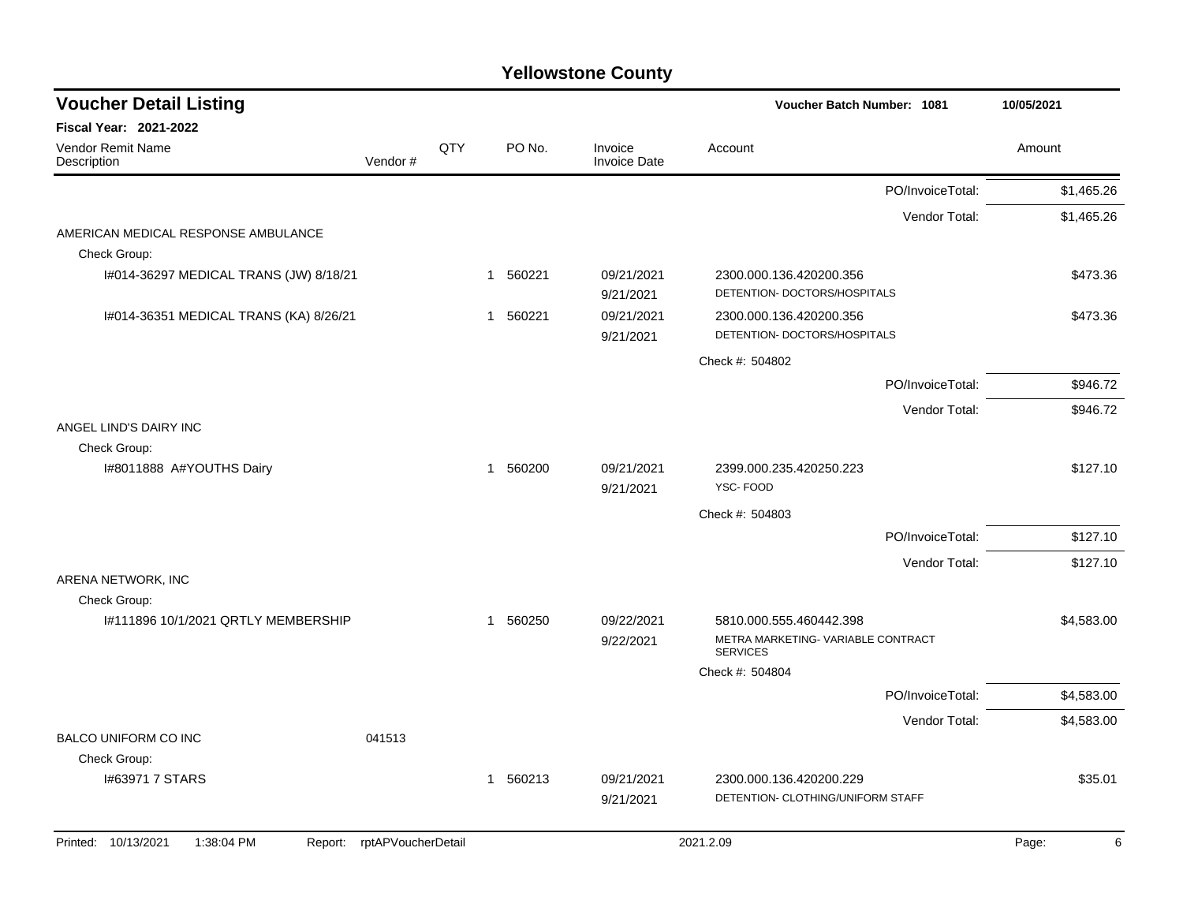| <b>Voucher Detail Listing</b>                       |                    |     |              |          |                                | Voucher Batch Number: 1081                              |                  | 10/05/2021 |
|-----------------------------------------------------|--------------------|-----|--------------|----------|--------------------------------|---------------------------------------------------------|------------------|------------|
| <b>Fiscal Year: 2021-2022</b>                       |                    |     |              |          |                                |                                                         |                  |            |
| <b>Vendor Remit Name</b><br>Description             | Vendor#            | QTY |              | PO No.   | Invoice<br><b>Invoice Date</b> | Account                                                 |                  | Amount     |
|                                                     |                    |     |              |          |                                |                                                         | PO/InvoiceTotal: | \$1,465.26 |
|                                                     |                    |     |              |          |                                |                                                         | Vendor Total:    | \$1,465.26 |
| AMERICAN MEDICAL RESPONSE AMBULANCE<br>Check Group: |                    |     |              |          |                                |                                                         |                  |            |
| I#014-36297 MEDICAL TRANS (JW) 8/18/21              |                    |     |              | 1 560221 | 09/21/2021<br>9/21/2021        | 2300.000.136.420200.356<br>DETENTION- DOCTORS/HOSPITALS |                  | \$473.36   |
| I#014-36351 MEDICAL TRANS (KA) 8/26/21              |                    |     | $\mathbf{1}$ | 560221   | 09/21/2021<br>9/21/2021        | 2300.000.136.420200.356<br>DETENTION- DOCTORS/HOSPITALS |                  | \$473.36   |
|                                                     |                    |     |              |          |                                | Check #: 504802                                         |                  |            |
|                                                     |                    |     |              |          |                                |                                                         | PO/InvoiceTotal: | \$946.72   |
|                                                     |                    |     |              |          |                                |                                                         | Vendor Total:    | \$946.72   |
| ANGEL LIND'S DAIRY INC                              |                    |     |              |          |                                |                                                         |                  |            |
| Check Group:                                        |                    |     |              |          |                                |                                                         |                  |            |
| I#8011888 A#YOUTHS Dairy                            |                    |     |              | 1 560200 | 09/21/2021<br>9/21/2021        | 2399.000.235.420250.223<br>YSC-FOOD                     |                  | \$127.10   |
|                                                     |                    |     |              |          |                                | Check #: 504803                                         |                  |            |
|                                                     |                    |     |              |          |                                |                                                         | PO/InvoiceTotal: | \$127.10   |
|                                                     |                    |     |              |          |                                |                                                         | Vendor Total:    | \$127.10   |
| ARENA NETWORK, INC                                  |                    |     |              |          |                                |                                                         |                  |            |
| Check Group:<br>1#111896 10/1/2021 QRTLY MEMBERSHIP |                    |     |              | 1 560250 | 09/22/2021                     | 5810.000.555.460442.398                                 |                  | \$4,583.00 |
|                                                     |                    |     |              |          | 9/22/2021                      | METRA MARKETING- VARIABLE CONTRACT<br><b>SERVICES</b>   |                  |            |
|                                                     |                    |     |              |          |                                | Check #: 504804                                         |                  |            |
|                                                     |                    |     |              |          |                                |                                                         | PO/InvoiceTotal: | \$4,583.00 |
|                                                     |                    |     |              |          |                                |                                                         | Vendor Total:    | \$4,583.00 |
| <b>BALCO UNIFORM CO INC</b>                         | 041513             |     |              |          |                                |                                                         |                  |            |
| Check Group:                                        |                    |     |              |          |                                |                                                         |                  |            |
| 1#63971 7 STARS                                     |                    |     | $\mathbf 1$  | 560213   | 09/21/2021                     | 2300.000.136.420200.229                                 |                  | \$35.01    |
|                                                     |                    |     |              |          | 9/21/2021                      | DETENTION- CLOTHING/UNIFORM STAFF                       |                  |            |
| 1:38:04 PM<br>Printed: 10/13/2021<br>Report:        | rptAPVoucherDetail |     |              |          |                                | 2021.2.09                                               |                  | Page:      |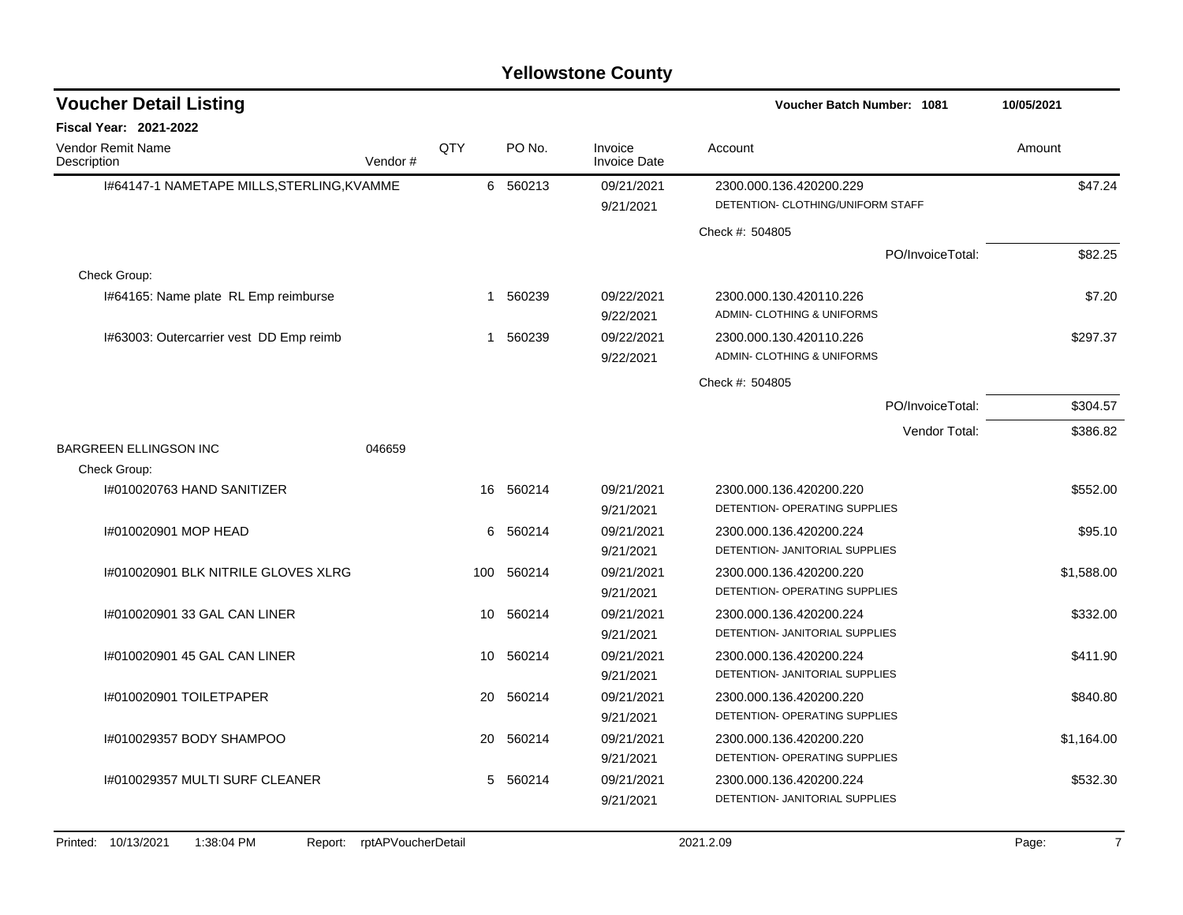| <b>Voucher Detail Listing</b>              |         |     |            |                                | <b>Voucher Batch Number: 1081</b>                            | 10/05/2021 |
|--------------------------------------------|---------|-----|------------|--------------------------------|--------------------------------------------------------------|------------|
| <b>Fiscal Year: 2021-2022</b>              |         |     |            |                                |                                                              |            |
| <b>Vendor Remit Name</b><br>Description    | Vendor# | QTY | PO No.     | Invoice<br><b>Invoice Date</b> | Account                                                      | Amount     |
| 1#64147-1 NAMETAPE MILLS, STERLING, KVAMME |         |     | 6 560213   | 09/21/2021<br>9/21/2021        | 2300.000.136.420200.229<br>DETENTION- CLOTHING/UNIFORM STAFF | \$47.24    |
|                                            |         |     |            |                                | Check #: 504805                                              |            |
|                                            |         |     |            |                                | PO/InvoiceTotal:                                             | \$82.25    |
| Check Group:                               |         |     |            |                                |                                                              |            |
| I#64165: Name plate RL Emp reimburse       |         |     | 1 560239   | 09/22/2021<br>9/22/2021        | 2300.000.130.420110.226<br>ADMIN- CLOTHING & UNIFORMS        | \$7.20     |
| I#63003: Outercarrier vest DD Emp reimb    |         | 1   | 560239     | 09/22/2021<br>9/22/2021        | 2300.000.130.420110.226<br>ADMIN- CLOTHING & UNIFORMS        | \$297.37   |
|                                            |         |     |            |                                | Check #: 504805                                              |            |
|                                            |         |     |            |                                | PO/InvoiceTotal:                                             | \$304.57   |
|                                            |         |     |            |                                | Vendor Total:                                                | \$386.82   |
| <b>BARGREEN ELLINGSON INC</b>              | 046659  |     |            |                                |                                                              |            |
| Check Group:                               |         |     |            |                                |                                                              |            |
| 1#010020763 HAND SANITIZER                 |         | 16  | 560214     | 09/21/2021                     | 2300.000.136.420200.220                                      | \$552.00   |
|                                            |         |     |            | 9/21/2021                      | DETENTION- OPERATING SUPPLIES                                |            |
| 1#010020901 MOP HEAD                       |         | 6   | 560214     | 09/21/2021                     | 2300.000.136.420200.224                                      | \$95.10    |
|                                            |         |     |            | 9/21/2021                      | DETENTION- JANITORIAL SUPPLIES                               |            |
| 1#010020901 BLK NITRILE GLOVES XLRG        |         |     | 100 560214 | 09/21/2021                     | 2300.000.136.420200.220                                      | \$1,588.00 |
|                                            |         |     |            | 9/21/2021                      | DETENTION- OPERATING SUPPLIES                                |            |
| 1#010020901 33 GAL CAN LINER               |         | 10  | 560214     | 09/21/2021                     | 2300.000.136.420200.224                                      | \$332.00   |
|                                            |         |     |            | 9/21/2021                      | DETENTION- JANITORIAL SUPPLIES                               |            |
| 1#010020901 45 GAL CAN LINER               |         | 10  | 560214     | 09/21/2021                     | 2300.000.136.420200.224                                      | \$411.90   |
|                                            |         |     |            | 9/21/2021                      | DETENTION- JANITORIAL SUPPLIES                               |            |
| I#010020901 TOILETPAPER                    |         | 20  | 560214     | 09/21/2021                     | 2300.000.136.420200.220                                      | \$840.80   |
|                                            |         |     |            | 9/21/2021                      | DETENTION- OPERATING SUPPLIES                                |            |
| I#010029357 BODY SHAMPOO                   |         | 20  | 560214     | 09/21/2021                     | 2300.000.136.420200.220                                      | \$1,164.00 |
|                                            |         |     |            | 9/21/2021                      | DETENTION- OPERATING SUPPLIES                                |            |
| I#010029357 MULTI SURF CLEANER             |         | 5   | 560214     | 09/21/2021                     | 2300.000.136.420200.224                                      | \$532.30   |
|                                            |         |     |            | 9/21/2021                      | DETENTION- JANITORIAL SUPPLIES                               |            |
|                                            |         |     |            |                                |                                                              |            |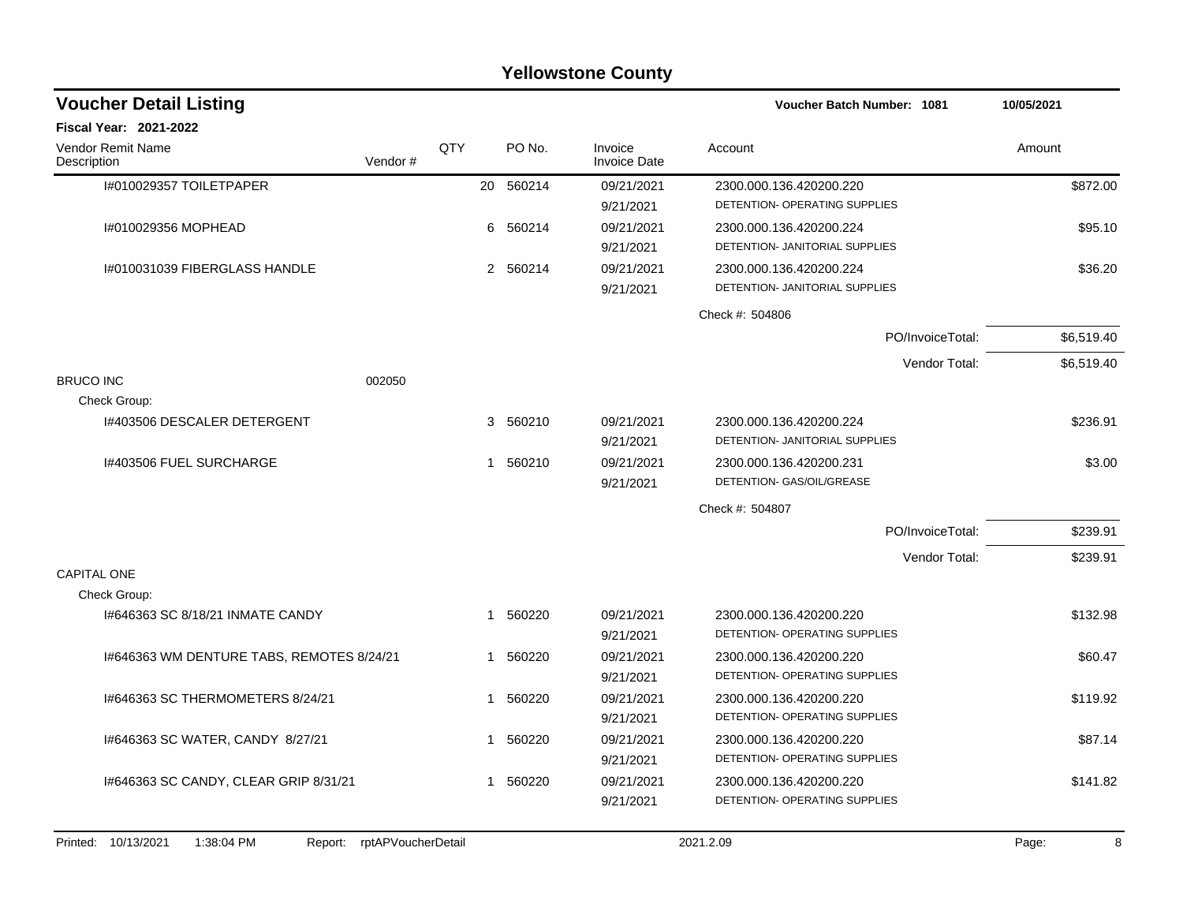| <b>Voucher Detail Listing</b>             |         |     |   |           |                                |                                | Voucher Batch Number: 1081 |            |  |
|-------------------------------------------|---------|-----|---|-----------|--------------------------------|--------------------------------|----------------------------|------------|--|
| <b>Fiscal Year: 2021-2022</b>             |         |     |   |           |                                |                                |                            |            |  |
| <b>Vendor Remit Name</b><br>Description   | Vendor# | QTY |   | PO No.    | Invoice<br><b>Invoice Date</b> | Account                        |                            | Amount     |  |
| I#010029357 TOILETPAPER                   |         |     |   | 20 560214 | 09/21/2021                     | 2300.000.136.420200.220        |                            | \$872.00   |  |
|                                           |         |     |   |           | 9/21/2021                      | DETENTION- OPERATING SUPPLIES  |                            |            |  |
| I#010029356 MOPHEAD                       |         |     | 6 | 560214    | 09/21/2021                     | 2300.000.136.420200.224        |                            | \$95.10    |  |
|                                           |         |     |   |           | 9/21/2021                      | DETENTION- JANITORIAL SUPPLIES |                            |            |  |
| I#010031039 FIBERGLASS HANDLE             |         |     |   | 2 560214  | 09/21/2021                     | 2300.000.136.420200.224        |                            | \$36.20    |  |
|                                           |         |     |   |           | 9/21/2021                      | DETENTION- JANITORIAL SUPPLIES |                            |            |  |
|                                           |         |     |   |           |                                | Check #: 504806                |                            |            |  |
|                                           |         |     |   |           |                                |                                | PO/InvoiceTotal:           | \$6,519.40 |  |
|                                           |         |     |   |           |                                |                                | Vendor Total:              | \$6,519.40 |  |
| <b>BRUCO INC</b>                          | 002050  |     |   |           |                                |                                |                            |            |  |
| Check Group:                              |         |     |   |           |                                |                                |                            |            |  |
| 1#403506 DESCALER DETERGENT               |         |     |   | 3 560210  | 09/21/2021                     | 2300.000.136.420200.224        |                            | \$236.91   |  |
|                                           |         |     |   |           | 9/21/2021                      | DETENTION- JANITORIAL SUPPLIES |                            |            |  |
| 1#403506 FUEL SURCHARGE                   |         |     |   | 1 560210  | 09/21/2021                     | 2300.000.136.420200.231        |                            | \$3.00     |  |
|                                           |         |     |   |           | 9/21/2021                      | DETENTION- GAS/OIL/GREASE      |                            |            |  |
|                                           |         |     |   |           |                                | Check #: 504807                |                            |            |  |
|                                           |         |     |   |           |                                |                                | PO/InvoiceTotal:           | \$239.91   |  |
|                                           |         |     |   |           |                                |                                | Vendor Total:              | \$239.91   |  |
| CAPITAL ONE                               |         |     |   |           |                                |                                |                            |            |  |
| Check Group:                              |         |     |   |           |                                |                                |                            |            |  |
| 1#646363 SC 8/18/21 INMATE CANDY          |         |     | 1 | 560220    | 09/21/2021                     | 2300.000.136.420200.220        |                            | \$132.98   |  |
|                                           |         |     |   |           | 9/21/2021                      | DETENTION- OPERATING SUPPLIES  |                            |            |  |
| I#646363 WM DENTURE TABS, REMOTES 8/24/21 |         |     | 1 | 560220    | 09/21/2021                     | 2300.000.136.420200.220        |                            | \$60.47    |  |
|                                           |         |     |   |           | 9/21/2021                      | DETENTION- OPERATING SUPPLIES  |                            |            |  |
| 1#646363 SC THERMOMETERS 8/24/21          |         |     |   | 1 560220  | 09/21/2021                     | 2300.000.136.420200.220        |                            | \$119.92   |  |
|                                           |         |     |   |           | 9/21/2021                      | DETENTION- OPERATING SUPPLIES  |                            |            |  |
| 1#646363 SC WATER, CANDY 8/27/21          |         |     | 1 | 560220    | 09/21/2021                     | 2300.000.136.420200.220        |                            | \$87.14    |  |
|                                           |         |     |   |           | 9/21/2021                      | DETENTION- OPERATING SUPPLIES  |                            |            |  |
| 1#646363 SC CANDY, CLEAR GRIP 8/31/21     |         |     | 1 | 560220    | 09/21/2021                     | 2300.000.136.420200.220        |                            | \$141.82   |  |
|                                           |         |     |   |           | 9/21/2021                      | DETENTION- OPERATING SUPPLIES  |                            |            |  |
|                                           |         |     |   |           |                                |                                |                            |            |  |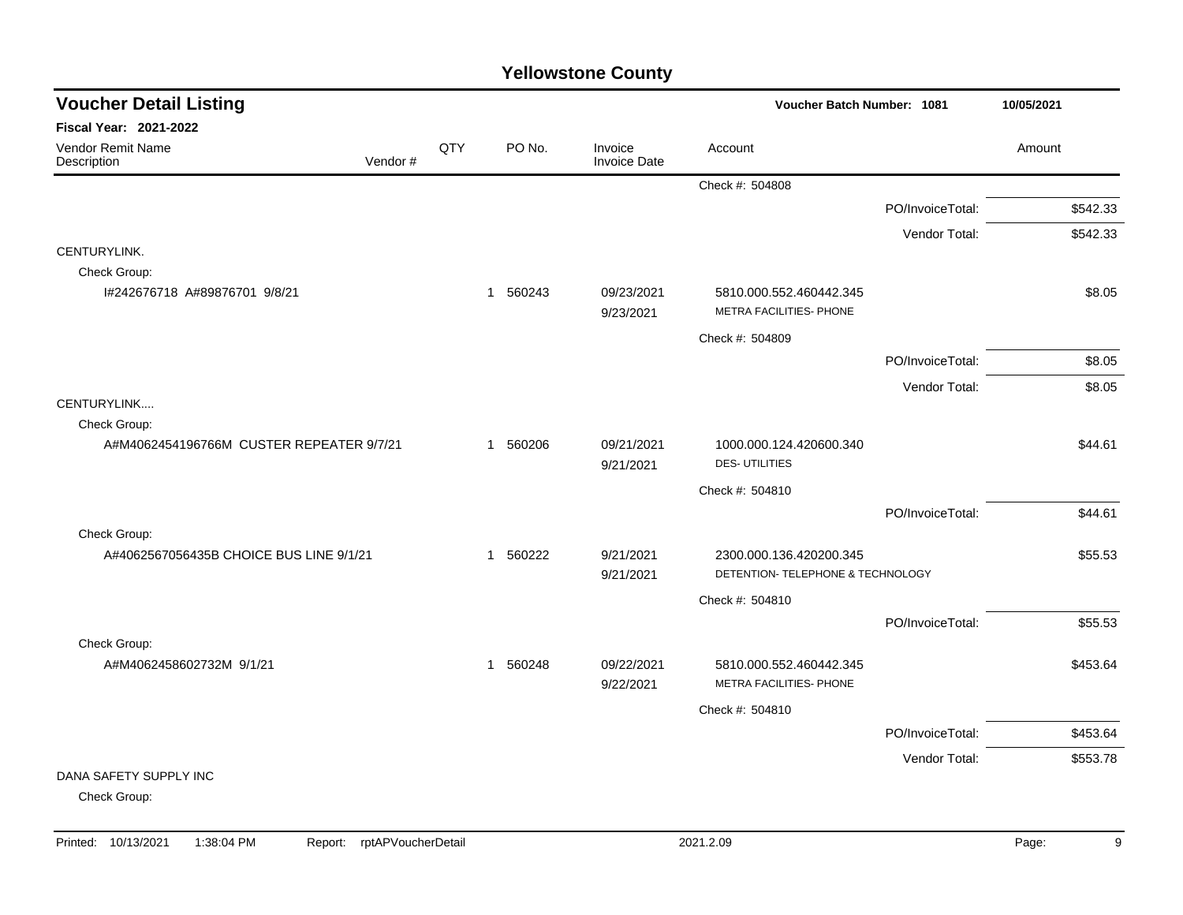| <b>Voucher Detail Listing</b>            |         |     |          |                                | Voucher Batch Number: 1081                                   |                  | 10/05/2021 |
|------------------------------------------|---------|-----|----------|--------------------------------|--------------------------------------------------------------|------------------|------------|
| <b>Fiscal Year: 2021-2022</b>            |         |     |          |                                |                                                              |                  |            |
| Vendor Remit Name<br>Description         | Vendor# | QTY | PO No.   | Invoice<br><b>Invoice Date</b> | Account                                                      |                  | Amount     |
|                                          |         |     |          |                                | Check #: 504808                                              |                  |            |
|                                          |         |     |          |                                |                                                              | PO/InvoiceTotal: | \$542.33   |
|                                          |         |     |          |                                |                                                              | Vendor Total:    | \$542.33   |
| CENTURYLINK.                             |         |     |          |                                |                                                              |                  |            |
| Check Group:                             |         |     |          |                                |                                                              |                  |            |
| I#242676718 A#89876701 9/8/21            |         |     | 1 560243 | 09/23/2021<br>9/23/2021        | 5810.000.552.460442.345<br>METRA FACILITIES- PHONE           |                  | \$8.05     |
|                                          |         |     |          |                                | Check #: 504809                                              |                  |            |
|                                          |         |     |          |                                |                                                              | PO/InvoiceTotal: | \$8.05     |
|                                          |         |     |          |                                |                                                              | Vendor Total:    | \$8.05     |
| CENTURYLINK                              |         |     |          |                                |                                                              |                  |            |
| Check Group:                             |         |     |          |                                |                                                              |                  |            |
| A#M4062454196766M CUSTER REPEATER 9/7/21 |         |     | 1 560206 | 09/21/2021<br>9/21/2021        | 1000.000.124.420600.340<br><b>DES-UTILITIES</b>              |                  | \$44.61    |
|                                          |         |     |          |                                | Check #: 504810                                              |                  |            |
|                                          |         |     |          |                                |                                                              | PO/InvoiceTotal: | \$44.61    |
| Check Group:                             |         |     |          |                                |                                                              |                  |            |
| A#4062567056435B CHOICE BUS LINE 9/1/21  |         |     | 1 560222 | 9/21/2021<br>9/21/2021         | 2300.000.136.420200.345<br>DETENTION- TELEPHONE & TECHNOLOGY |                  | \$55.53    |
|                                          |         |     |          |                                | Check #: 504810                                              |                  |            |
|                                          |         |     |          |                                |                                                              | PO/InvoiceTotal: | \$55.53    |
| Check Group:                             |         |     |          |                                |                                                              |                  |            |
| A#M4062458602732M 9/1/21                 |         |     | 1 560248 | 09/22/2021<br>9/22/2021        | 5810.000.552.460442.345<br>METRA FACILITIES- PHONE           |                  | \$453.64   |
|                                          |         |     |          |                                | Check #: 504810                                              |                  |            |
|                                          |         |     |          |                                |                                                              | PO/InvoiceTotal: | \$453.64   |
|                                          |         |     |          |                                |                                                              | Vendor Total:    | \$553.78   |
| DANA SAFETY SUPPLY INC                   |         |     |          |                                |                                                              |                  |            |
| Check Group:                             |         |     |          |                                |                                                              |                  |            |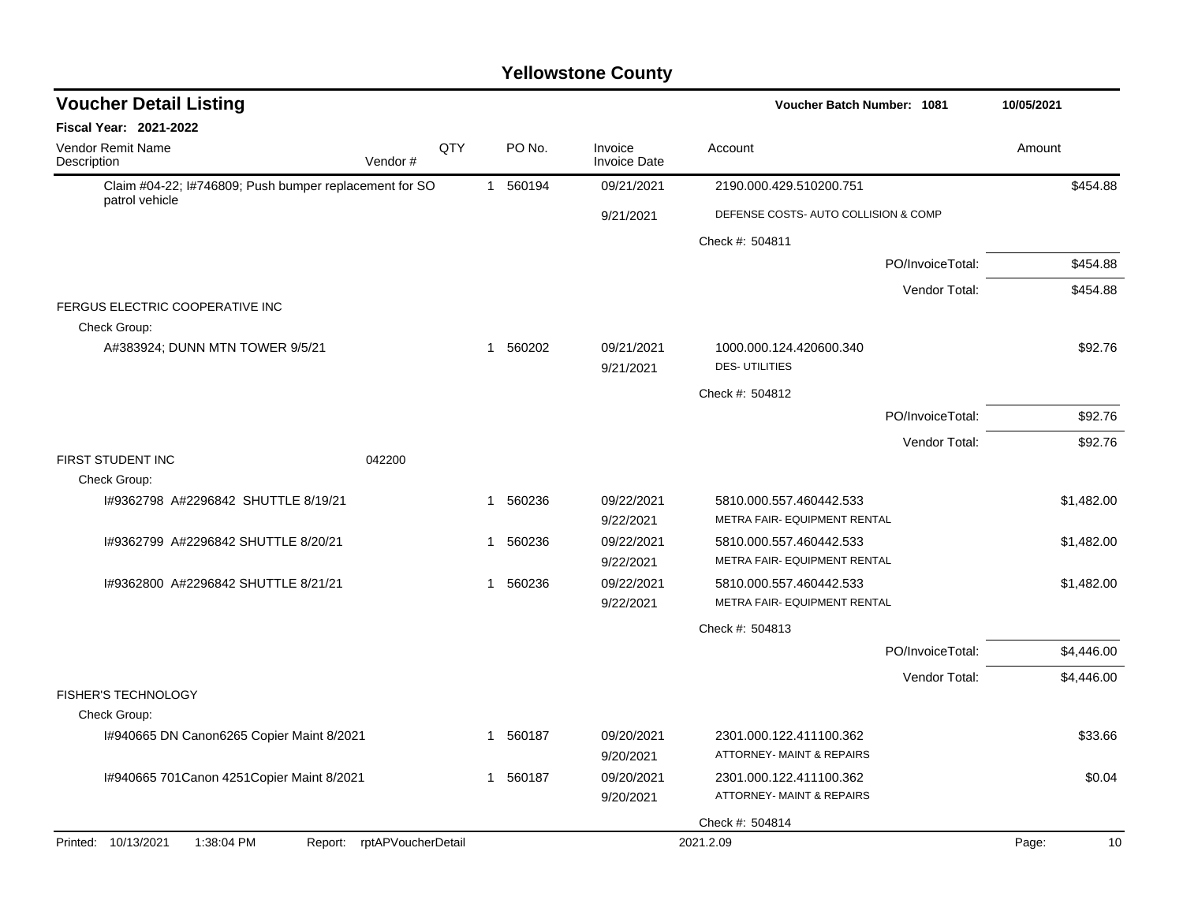| <b>Voucher Detail Listing</b>                                                               |                    |              |          |                                      | Voucher Batch Number: 1081                                                                     |                  | 10/05/2021 |
|---------------------------------------------------------------------------------------------|--------------------|--------------|----------|--------------------------------------|------------------------------------------------------------------------------------------------|------------------|------------|
| <b>Fiscal Year: 2021-2022</b>                                                               |                    |              |          |                                      |                                                                                                |                  |            |
| <b>Vendor Remit Name</b><br>Description                                                     | QTY<br>Vendor#     |              | PO No.   | Invoice<br><b>Invoice Date</b>       | Account                                                                                        |                  | Amount     |
| Claim #04-22; I#746809; Push bumper replacement for SO<br>patrol vehicle                    |                    | $\mathbf{1}$ | 560194   | 09/21/2021                           | 2190.000.429.510200.751                                                                        |                  | \$454.88   |
|                                                                                             |                    |              |          | 9/21/2021                            | DEFENSE COSTS- AUTO COLLISION & COMP                                                           |                  |            |
|                                                                                             |                    |              |          |                                      | Check #: 504811                                                                                |                  |            |
|                                                                                             |                    |              |          |                                      |                                                                                                | PO/InvoiceTotal: | \$454.88   |
|                                                                                             |                    |              |          |                                      |                                                                                                | Vendor Total:    | \$454.88   |
| FERGUS ELECTRIC COOPERATIVE INC                                                             |                    |              |          |                                      |                                                                                                |                  |            |
| Check Group:                                                                                |                    |              |          |                                      |                                                                                                |                  |            |
| A#383924; DUNN MTN TOWER 9/5/21                                                             |                    | 1            | 560202   | 09/21/2021<br>9/21/2021              | 1000.000.124.420600.340<br><b>DES-UTILITIES</b>                                                |                  | \$92.76    |
|                                                                                             |                    |              |          |                                      | Check #: 504812                                                                                |                  |            |
|                                                                                             |                    |              |          |                                      |                                                                                                | PO/InvoiceTotal: | \$92.76    |
|                                                                                             |                    |              |          |                                      |                                                                                                | Vendor Total:    | \$92.76    |
| FIRST STUDENT INC<br>042200                                                                 |                    |              |          |                                      |                                                                                                |                  |            |
| Check Group:                                                                                |                    |              |          |                                      |                                                                                                |                  |            |
| 1#9362798 A#2296842 SHUTTLE 8/19/21                                                         |                    | 1            | 560236   | 09/22/2021                           | 5810.000.557.460442.533                                                                        |                  | \$1,482.00 |
|                                                                                             |                    |              |          | 9/22/2021                            | METRA FAIR- EQUIPMENT RENTAL                                                                   |                  |            |
| 1#9362799 A#2296842 SHUTTLE 8/20/21                                                         |                    | 1            | 560236   | 09/22/2021                           | 5810.000.557.460442.533                                                                        |                  | \$1,482.00 |
|                                                                                             |                    |              |          | 9/22/2021                            | METRA FAIR- EQUIPMENT RENTAL                                                                   |                  |            |
| I#9362800 A#2296842 SHUTTLE 8/21/21                                                         |                    | $\mathbf{1}$ | 560236   | 09/22/2021                           | 5810.000.557.460442.533                                                                        |                  | \$1,482.00 |
|                                                                                             |                    |              |          | 9/22/2021                            | METRA FAIR- EQUIPMENT RENTAL                                                                   |                  |            |
|                                                                                             |                    |              |          |                                      | Check #: 504813                                                                                |                  |            |
|                                                                                             |                    |              |          |                                      |                                                                                                | PO/InvoiceTotal: | \$4,446.00 |
|                                                                                             |                    |              |          |                                      |                                                                                                | Vendor Total:    | \$4,446.00 |
| FISHER'S TECHNOLOGY                                                                         |                    |              |          |                                      |                                                                                                |                  |            |
| Check Group:                                                                                |                    |              |          |                                      |                                                                                                |                  |            |
| I#940665 DN Canon6265 Copier Maint 8/2021                                                   |                    |              | 1 560187 | 09/20/2021                           | 2301.000.122.411100.362                                                                        |                  | \$33.66    |
|                                                                                             |                    |              |          |                                      |                                                                                                |                  |            |
|                                                                                             |                    |              |          |                                      |                                                                                                |                  | \$0.04     |
|                                                                                             |                    |              |          |                                      |                                                                                                |                  |            |
|                                                                                             |                    |              |          |                                      | Check #: 504814                                                                                |                  | Page:      |
| I#940665 701 Canon 4251 Copier Maint 8/2021<br>Printed: 10/13/2021<br>1:38:04 PM<br>Report: | rptAPVoucherDetail | 1            | 560187   | 9/20/2021<br>09/20/2021<br>9/20/2021 | ATTORNEY- MAINT & REPAIRS<br>2301.000.122.411100.362<br>ATTORNEY- MAINT & REPAIRS<br>2021.2.09 |                  |            |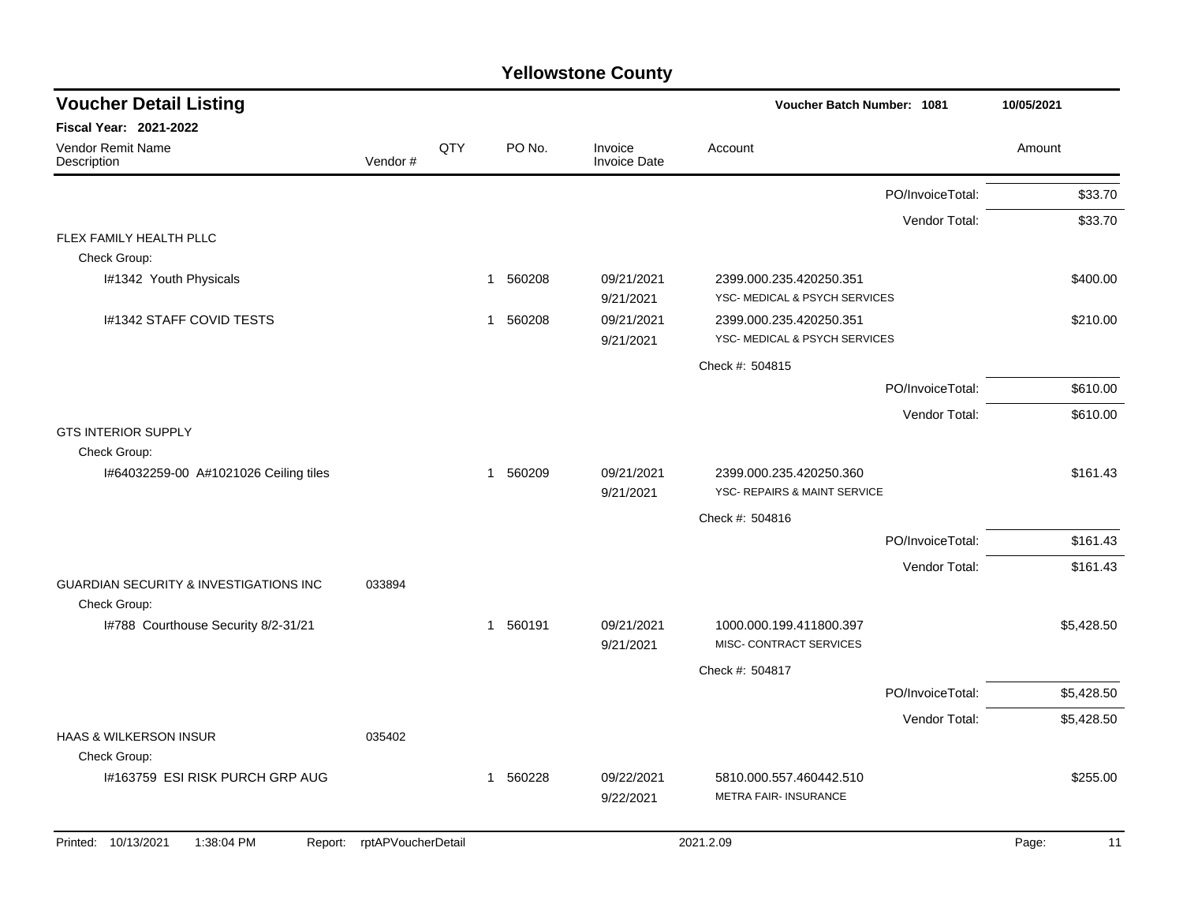| <b>Voucher Detail Listing</b>                                     |                    |     |                        |                                | Voucher Batch Number: 1081                               |                  | 10/05/2021  |
|-------------------------------------------------------------------|--------------------|-----|------------------------|--------------------------------|----------------------------------------------------------|------------------|-------------|
| Fiscal Year: 2021-2022                                            |                    |     |                        |                                |                                                          |                  |             |
| Vendor Remit Name<br>Description                                  | Vendor#            | QTY | PO No.                 | Invoice<br><b>Invoice Date</b> | Account                                                  |                  | Amount      |
|                                                                   |                    |     |                        |                                |                                                          | PO/InvoiceTotal: | \$33.70     |
|                                                                   |                    |     |                        |                                |                                                          | Vendor Total:    | \$33.70     |
| FLEX FAMILY HEALTH PLLC                                           |                    |     |                        |                                |                                                          |                  |             |
| Check Group:                                                      |                    |     |                        |                                |                                                          |                  |             |
| I#1342 Youth Physicals                                            |                    |     | 1 560208               | 09/21/2021<br>9/21/2021        | 2399.000.235.420250.351<br>YSC- MEDICAL & PSYCH SERVICES |                  | \$400.00    |
| I#1342 STAFF COVID TESTS                                          |                    |     | 560208<br>1            | 09/21/2021                     | 2399.000.235.420250.351                                  |                  | \$210.00    |
|                                                                   |                    |     |                        | 9/21/2021                      | YSC- MEDICAL & PSYCH SERVICES                            |                  |             |
|                                                                   |                    |     |                        |                                | Check #: 504815                                          |                  |             |
|                                                                   |                    |     |                        |                                |                                                          | PO/InvoiceTotal: | \$610.00    |
|                                                                   |                    |     |                        |                                |                                                          | Vendor Total:    | \$610.00    |
| <b>GTS INTERIOR SUPPLY</b>                                        |                    |     |                        |                                |                                                          |                  |             |
| Check Group:                                                      |                    |     |                        |                                |                                                          |                  |             |
| I#64032259-00 A#1021026 Ceiling tiles                             |                    |     | 1 560209               | 09/21/2021<br>9/21/2021        | 2399.000.235.420250.360<br>YSC- REPAIRS & MAINT SERVICE  |                  | \$161.43    |
|                                                                   |                    |     |                        |                                | Check #: 504816                                          |                  |             |
|                                                                   |                    |     |                        |                                |                                                          | PO/InvoiceTotal: | \$161.43    |
|                                                                   |                    |     |                        |                                |                                                          | Vendor Total:    | \$161.43    |
| <b>GUARDIAN SECURITY &amp; INVESTIGATIONS INC</b><br>Check Group: | 033894             |     |                        |                                |                                                          |                  |             |
| I#788 Courthouse Security 8/2-31/21                               |                    |     | 560191<br>$\mathbf{1}$ | 09/21/2021<br>9/21/2021        | 1000.000.199.411800.397<br>MISC- CONTRACT SERVICES       |                  | \$5,428.50  |
|                                                                   |                    |     |                        |                                | Check #: 504817                                          |                  |             |
|                                                                   |                    |     |                        |                                |                                                          | PO/InvoiceTotal: | \$5,428.50  |
|                                                                   |                    |     |                        |                                |                                                          | Vendor Total:    | \$5,428.50  |
| <b>HAAS &amp; WILKERSON INSUR</b>                                 | 035402             |     |                        |                                |                                                          |                  |             |
| Check Group:                                                      |                    |     |                        |                                |                                                          |                  |             |
| I#163759 ESI RISK PURCH GRP AUG                                   |                    |     | 1 560228               | 09/22/2021                     | 5810.000.557.460442.510                                  |                  | \$255.00    |
|                                                                   |                    |     |                        | 9/22/2021                      | <b>METRA FAIR- INSURANCE</b>                             |                  |             |
| Printed: 10/13/2021<br>1:38:04 PM<br>Report:                      | rptAPVoucherDetail |     |                        |                                | 2021.2.09                                                |                  | Page:<br>11 |
|                                                                   |                    |     |                        |                                |                                                          |                  |             |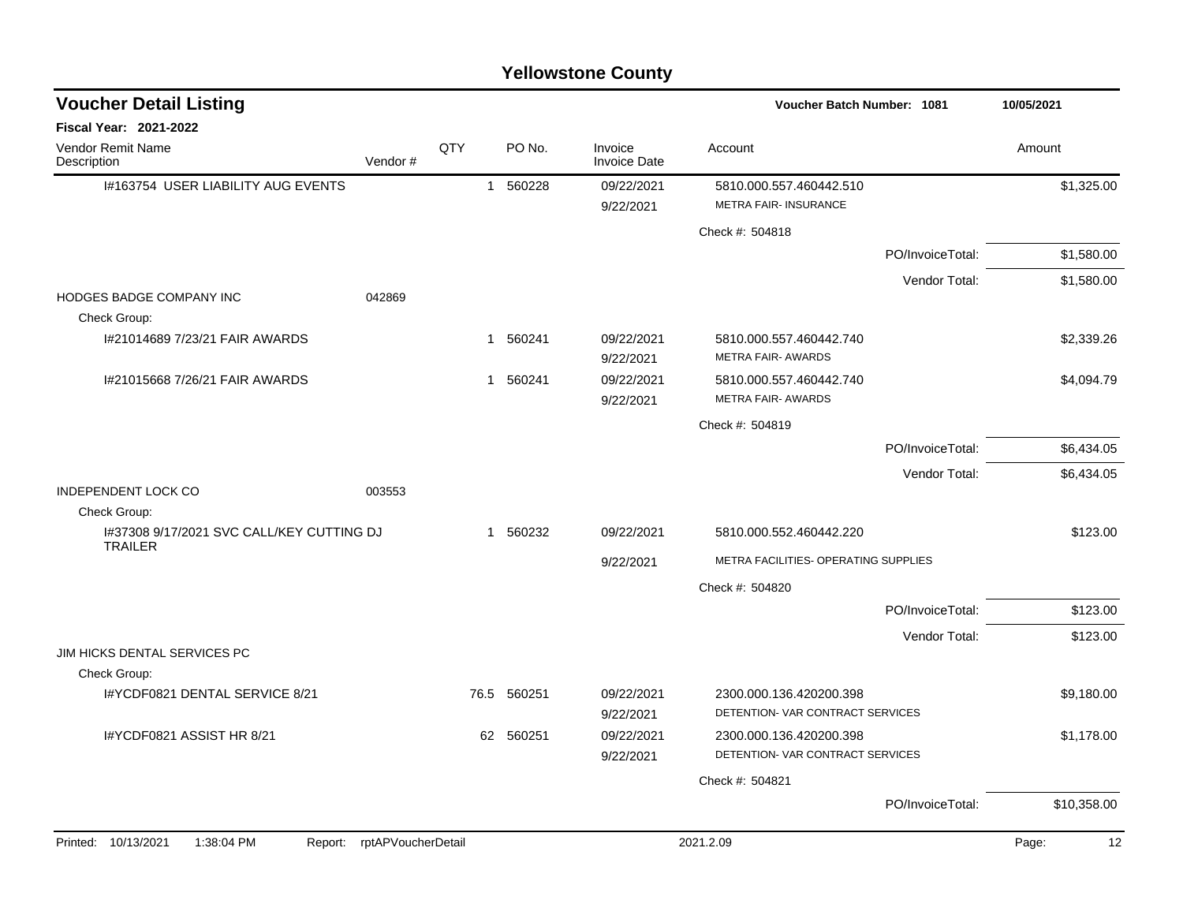| <b>Voucher Detail Listing</b>                               |                    |              |        |                                | <b>Voucher Batch Number: 1081</b>                           |                  | 10/05/2021  |
|-------------------------------------------------------------|--------------------|--------------|--------|--------------------------------|-------------------------------------------------------------|------------------|-------------|
| <b>Fiscal Year: 2021-2022</b>                               |                    |              |        |                                |                                                             |                  |             |
| Vendor Remit Name<br>Description                            | Vendor#            | QTY          | PO No. | Invoice<br><b>Invoice Date</b> | Account                                                     |                  | Amount      |
| 1#163754 USER LIABILITY AUG EVENTS                          |                    | $\mathbf{1}$ | 560228 | 09/22/2021<br>9/22/2021        | 5810.000.557.460442.510<br><b>METRA FAIR-INSURANCE</b>      |                  | \$1,325.00  |
|                                                             |                    |              |        |                                | Check #: 504818                                             |                  |             |
|                                                             |                    |              |        |                                |                                                             | PO/InvoiceTotal: | \$1,580.00  |
|                                                             |                    |              |        |                                |                                                             | Vendor Total:    | \$1,580.00  |
| HODGES BADGE COMPANY INC<br>Check Group:                    | 042869             |              |        |                                |                                                             |                  |             |
| I#21014689 7/23/21 FAIR AWARDS                              |                    | -1           | 560241 | 09/22/2021<br>9/22/2021        | 5810.000.557.460442.740<br><b>METRA FAIR- AWARDS</b>        |                  | \$2,339.26  |
| I#21015668 7/26/21 FAIR AWARDS                              |                    | 1            | 560241 | 09/22/2021<br>9/22/2021        | 5810.000.557.460442.740<br><b>METRA FAIR- AWARDS</b>        |                  | \$4,094.79  |
|                                                             |                    |              |        |                                | Check #: 504819                                             |                  |             |
|                                                             |                    |              |        |                                |                                                             | PO/InvoiceTotal: | \$6,434.05  |
|                                                             |                    |              |        |                                |                                                             | Vendor Total:    | \$6,434.05  |
| <b>INDEPENDENT LOCK CO</b><br>Check Group:                  | 003553             |              |        |                                |                                                             |                  |             |
| 1#37308 9/17/2021 SVC CALL/KEY CUTTING DJ<br><b>TRAILER</b> |                    | $\mathbf{1}$ | 560232 | 09/22/2021                     | 5810.000.552.460442.220                                     |                  | \$123.00    |
|                                                             |                    |              |        | 9/22/2021                      | METRA FACILITIES- OPERATING SUPPLIES                        |                  |             |
|                                                             |                    |              |        |                                | Check #: 504820                                             |                  |             |
|                                                             |                    |              |        |                                |                                                             | PO/InvoiceTotal: | \$123.00    |
|                                                             |                    |              |        |                                |                                                             | Vendor Total:    | \$123.00    |
| JIM HICKS DENTAL SERVICES PC<br>Check Group:                |                    |              |        |                                |                                                             |                  |             |
| I#YCDF0821 DENTAL SERVICE 8/21                              |                    | 76.5         | 560251 | 09/22/2021<br>9/22/2021        | 2300.000.136.420200.398<br>DETENTION- VAR CONTRACT SERVICES |                  | \$9,180.00  |
| I#YCDF0821 ASSIST HR 8/21                                   |                    | 62           | 560251 | 09/22/2021<br>9/22/2021        | 2300.000.136.420200.398<br>DETENTION- VAR CONTRACT SERVICES |                  | \$1,178.00  |
|                                                             |                    |              |        |                                | Check #: 504821                                             |                  |             |
|                                                             |                    |              |        |                                |                                                             | PO/InvoiceTotal: | \$10,358.00 |
| Printed: 10/13/2021<br>1:38:04 PM<br>Report:                | rptAPVoucherDetail |              |        |                                | 2021.2.09                                                   |                  | 12<br>Page: |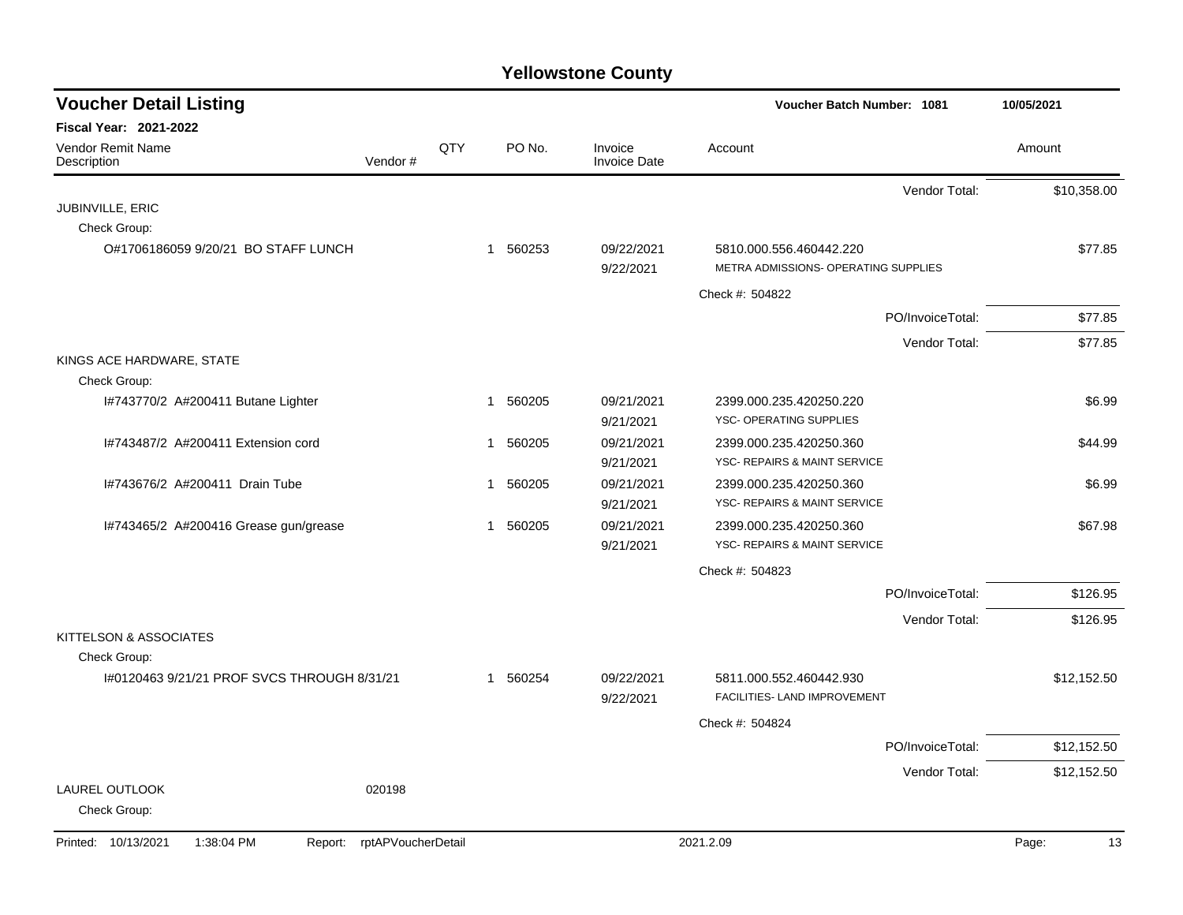| <b>Voucher Detail Listing</b>                |                    |     |                        |                                | Voucher Batch Number: 1081                                      | 10/05/2021  |
|----------------------------------------------|--------------------|-----|------------------------|--------------------------------|-----------------------------------------------------------------|-------------|
| <b>Fiscal Year: 2021-2022</b>                |                    |     |                        |                                |                                                                 |             |
| Vendor Remit Name<br>Description             | Vendor#            | QTY | PO No.                 | Invoice<br><b>Invoice Date</b> | Account                                                         | Amount      |
|                                              |                    |     |                        |                                | Vendor Total:                                                   | \$10,358.00 |
| JUBINVILLE, ERIC                             |                    |     |                        |                                |                                                                 |             |
| Check Group:                                 |                    |     |                        |                                |                                                                 |             |
| O#1706186059 9/20/21 BO STAFF LUNCH          |                    |     | 1 560253               | 09/22/2021<br>9/22/2021        | 5810.000.556.460442.220<br>METRA ADMISSIONS- OPERATING SUPPLIES | \$77.85     |
|                                              |                    |     |                        |                                | Check #: 504822                                                 |             |
|                                              |                    |     |                        |                                | PO/InvoiceTotal:                                                | \$77.85     |
|                                              |                    |     |                        |                                | Vendor Total:                                                   | \$77.85     |
| KINGS ACE HARDWARE, STATE<br>Check Group:    |                    |     |                        |                                |                                                                 |             |
| I#743770/2 A#200411 Butane Lighter           |                    |     | 1 560205               | 09/21/2021                     | 2399.000.235.420250.220                                         | \$6.99      |
|                                              |                    |     |                        | 9/21/2021                      | YSC- OPERATING SUPPLIES                                         |             |
| I#743487/2 A#200411 Extension cord           |                    |     | 560205<br>$\mathbf 1$  | 09/21/2021                     | 2399.000.235.420250.360                                         | \$44.99     |
|                                              |                    |     |                        | 9/21/2021                      | YSC- REPAIRS & MAINT SERVICE                                    |             |
| I#743676/2 A#200411 Drain Tube               |                    |     | 560205<br>$\mathbf{1}$ | 09/21/2021<br>9/21/2021        | 2399.000.235.420250.360<br>YSC- REPAIRS & MAINT SERVICE         | \$6.99      |
| I#743465/2 A#200416 Grease gun/grease        |                    |     | 560205<br>$\mathbf 1$  | 09/21/2021                     | 2399.000.235.420250.360                                         | \$67.98     |
|                                              |                    |     |                        | 9/21/2021                      | <b>YSC- REPAIRS &amp; MAINT SERVICE</b>                         |             |
|                                              |                    |     |                        |                                | Check #: 504823                                                 |             |
|                                              |                    |     |                        |                                | PO/InvoiceTotal:                                                | \$126.95    |
|                                              |                    |     |                        |                                | Vendor Total:                                                   | \$126.95    |
| KITTELSON & ASSOCIATES                       |                    |     |                        |                                |                                                                 |             |
| Check Group:                                 |                    |     |                        |                                |                                                                 |             |
| I#0120463 9/21/21 PROF SVCS THROUGH 8/31/21  |                    |     | 1 560254               | 09/22/2021<br>9/22/2021        | 5811.000.552.460442.930<br>FACILITIES- LAND IMPROVEMENT         | \$12,152.50 |
|                                              |                    |     |                        |                                | Check #: 504824                                                 |             |
|                                              |                    |     |                        |                                | PO/InvoiceTotal:                                                | \$12,152.50 |
|                                              |                    |     |                        |                                | Vendor Total:                                                   | \$12,152.50 |
| LAUREL OUTLOOK<br>Check Group:               | 020198             |     |                        |                                |                                                                 |             |
| Printed: 10/13/2021<br>1:38:04 PM<br>Report: | rptAPVoucherDetail |     |                        |                                | 2021.2.09                                                       | Page:<br>13 |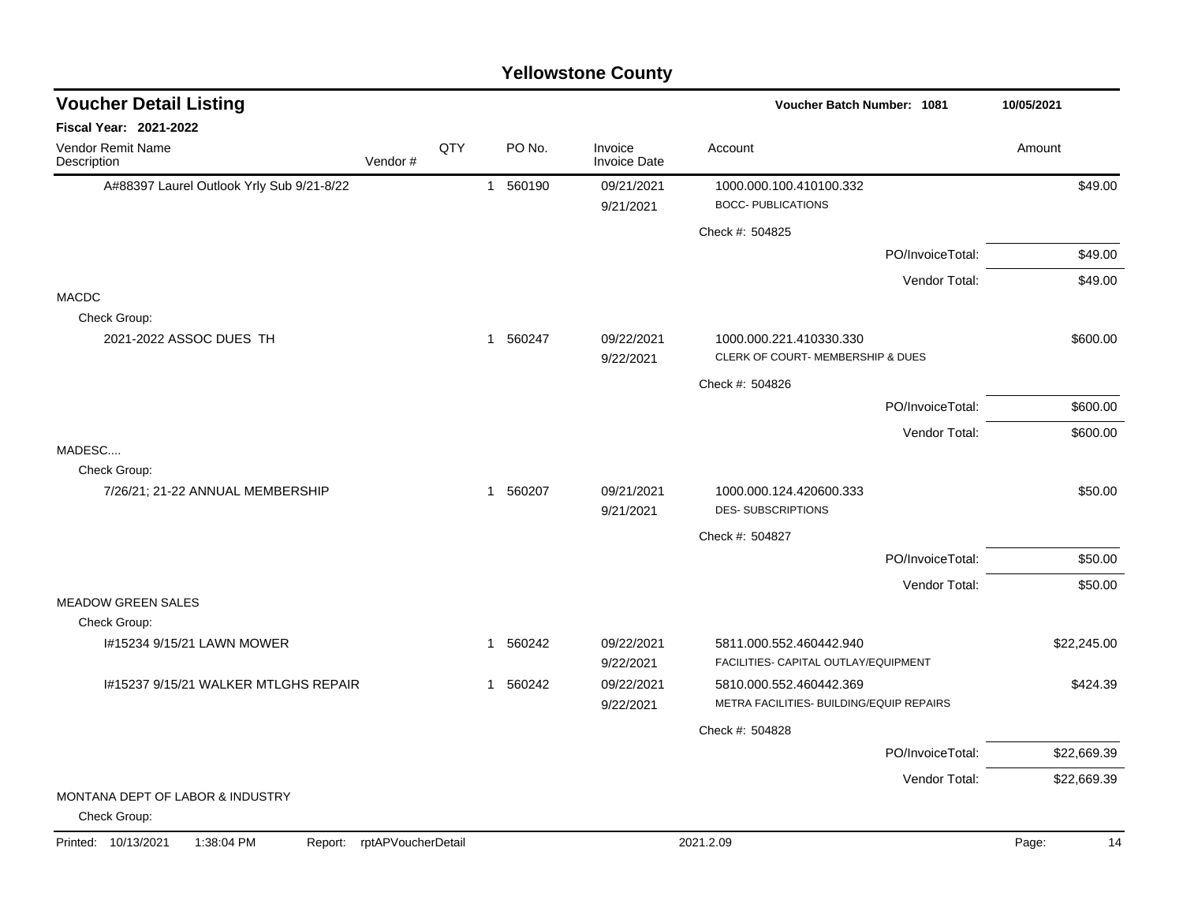### A#88397 Laurel Outlook Yrly Sub 9/21-8/22 1 560190 09/21/2021 1000.000.100.410100.332 9/21/2021 BOCC- PUBLICATIONS Check #: 504825 PO/InvoiceTotal: \$49.00 Vendor Total: \$49.00 MACDC Check Group: 2021-2022 ASSOC DUES TH 1 560247 09/22/2021 1000.000.221.410330.330 \$600.00 9/22/2021 CLERK OF COURT- MEMBERSHIP & DUES Check #: 504826 PO/InvoiceTotal: \$600.00 Vendor Total: \$600.00 MADESC.... Check Group: 7/26/21; 21-22 ANNUAL MEMBERSHIP 1 560207 09/21/2021 1000.000.124.420600.333 \$50.00 9/21/2021 DES- SUBSCRIPTIONS Check #: 504827 PO/InvoiceTotal: \$50.00 Vendor Total: \$50.00 MEADOW GREEN SALES Check Group: I#15234 9/15/21 LAWN MOWER 1 560242 09/22/2021 5811.000.552.460442.940 9/22/2021 FACILITIES- CAPITAL OUTLAY/EQUIPMENT I#15237 9/15/21 WALKER MTLGHS REPAIR 1 560242 09/22/2021 5810.000.552.460442.369 5424.39 9/22/2021 METRA FACILITIES- BUILDING/EQUIP REPAIRS Check #: 504828 PO/InvoiceTotal: \$22,669.39 Vendor Total: \$22,669.39 MONTANA DEPT OF LABOR & INDUSTRY Check Group: **Voucher Batch Number: Yellowstone County** Vendor Remit Name **Description Voucher Detail Listing Fiscal Year: 2021-2022 1081 10/05/2021** PO No. Invoice Account Amount Amount Amount Amount Vendor # **QTY** Invoice Date Printed: 10/13/2021 1:38:04 PM Report: rptAPVoucherDetail 2021.2.09 2021.2.09 Page: 14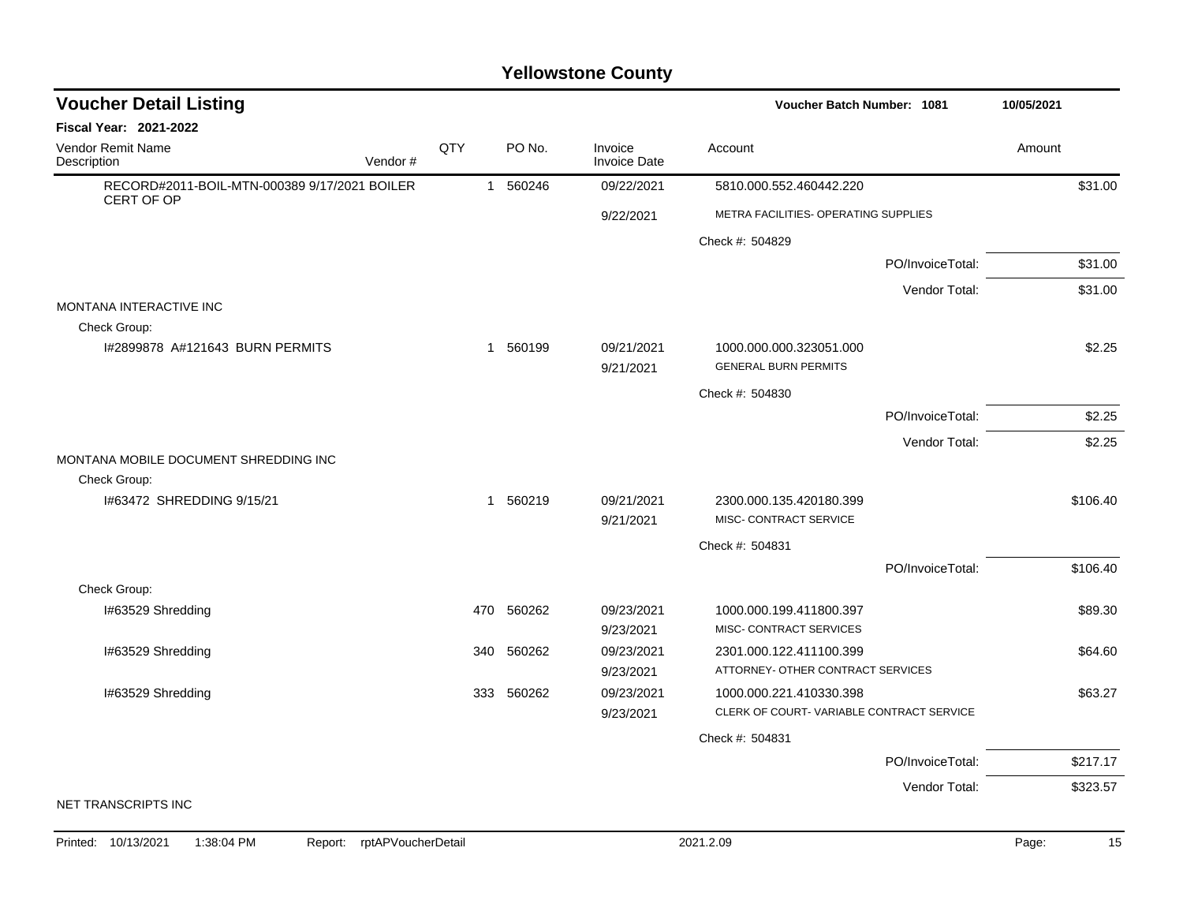| <b>Voucher Detail Listing</b>                              |                |            |                                | Voucher Batch Number: 1081                             | 10/05/2021 |
|------------------------------------------------------------|----------------|------------|--------------------------------|--------------------------------------------------------|------------|
| <b>Fiscal Year: 2021-2022</b>                              |                |            |                                |                                                        |            |
| Vendor Remit Name<br>Vendor#<br>Description                | QTY            | PO No.     | Invoice<br><b>Invoice Date</b> | Account                                                | Amount     |
| RECORD#2011-BOIL-MTN-000389 9/17/2021 BOILER<br>CERT OF OP | $\overline{1}$ | 560246     | 09/22/2021                     | 5810.000.552.460442.220                                | \$31.00    |
|                                                            |                |            | 9/22/2021                      | METRA FACILITIES- OPERATING SUPPLIES                   |            |
|                                                            |                |            |                                | Check #: 504829                                        |            |
|                                                            |                |            |                                | PO/InvoiceTotal:                                       | \$31.00    |
|                                                            |                |            |                                | Vendor Total:                                          | \$31.00    |
| MONTANA INTERACTIVE INC<br>Check Group:                    |                |            |                                |                                                        |            |
| 1#2899878 A#121643 BURN PERMITS                            |                | 1 560199   | 09/21/2021<br>9/21/2021        | 1000.000.000.323051.000<br><b>GENERAL BURN PERMITS</b> | \$2.25     |
|                                                            |                |            |                                | Check #: 504830                                        |            |
|                                                            |                |            |                                | PO/InvoiceTotal:                                       | \$2.25     |
|                                                            |                |            |                                | Vendor Total:                                          | \$2.25     |
| MONTANA MOBILE DOCUMENT SHREDDING INC                      |                |            |                                |                                                        |            |
| Check Group:                                               |                |            |                                |                                                        |            |
| #63472 SHREDDING 9/15/21                                   |                | 1 560219   | 09/21/2021                     | 2300.000.135.420180.399<br>MISC- CONTRACT SERVICE      | \$106.40   |
|                                                            |                |            | 9/21/2021                      |                                                        |            |
|                                                            |                |            |                                | Check #: 504831<br>PO/InvoiceTotal:                    | \$106.40   |
| Check Group:                                               |                |            |                                |                                                        |            |
| I#63529 Shredding                                          |                | 470 560262 | 09/23/2021                     | 1000.000.199.411800.397                                | \$89.30    |
|                                                            |                |            | 9/23/2021                      | MISC- CONTRACT SERVICES                                |            |
| I#63529 Shredding                                          | 340            | 560262     | 09/23/2021                     | 2301.000.122.411100.399                                | \$64.60    |
|                                                            |                |            | 9/23/2021                      | ATTORNEY- OTHER CONTRACT SERVICES                      |            |
| I#63529 Shredding                                          | 333            | 560262     | 09/23/2021                     | 1000.000.221.410330.398                                | \$63.27    |
|                                                            |                |            | 9/23/2021                      | CLERK OF COURT-VARIABLE CONTRACT SERVICE               |            |
|                                                            |                |            |                                | Check #: 504831                                        |            |
|                                                            |                |            |                                | PO/InvoiceTotal:                                       | \$217.17   |
|                                                            |                |            |                                | Vendor Total:                                          | \$323.57   |
| NET TRANSCRIPTS INC                                        |                |            |                                |                                                        |            |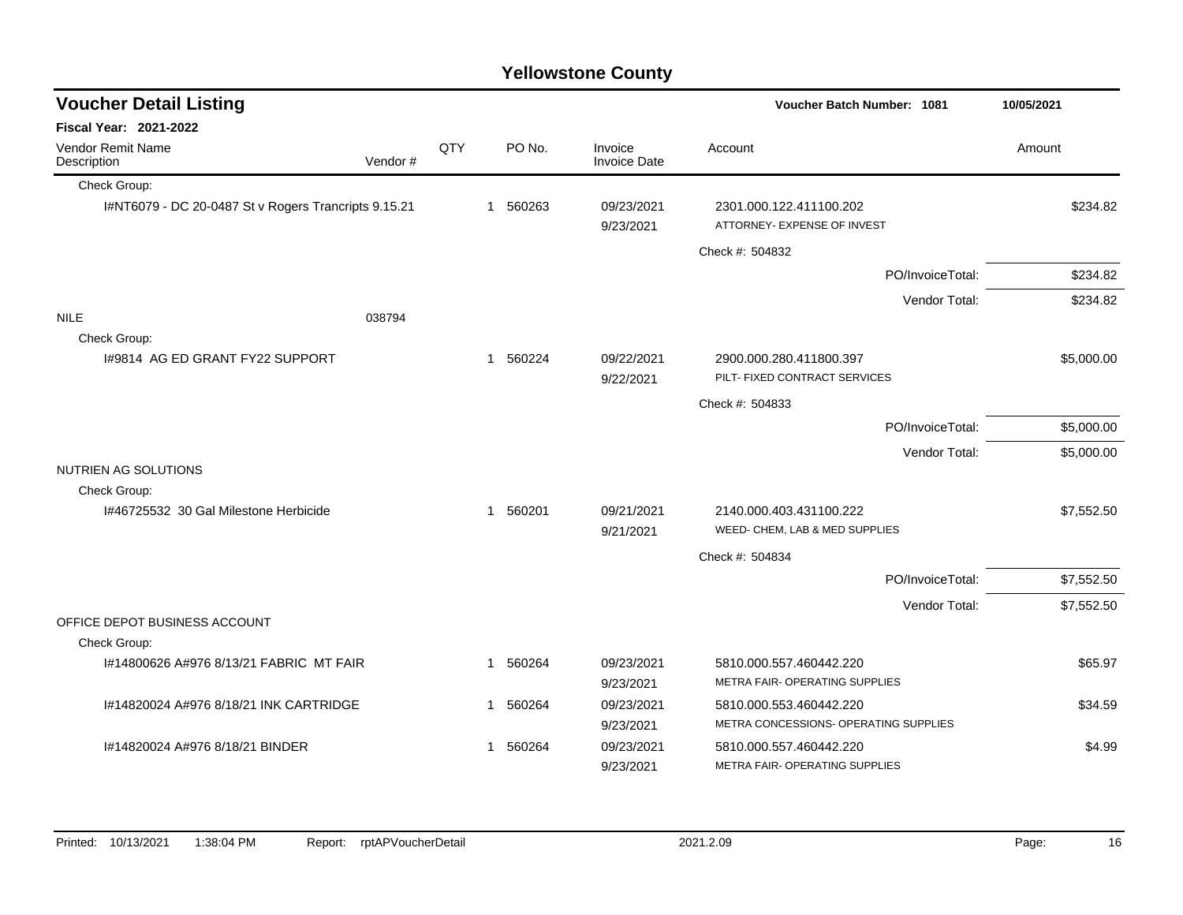| <b>Voucher Detail Listing</b>                           |         | Voucher Batch Number: 1081 | 10/05/2021   |          |                                |                                                                  |            |
|---------------------------------------------------------|---------|----------------------------|--------------|----------|--------------------------------|------------------------------------------------------------------|------------|
| Fiscal Year: 2021-2022                                  |         |                            |              |          |                                |                                                                  |            |
| Vendor Remit Name<br>Description                        | Vendor# | QTY                        |              | PO No.   | Invoice<br><b>Invoice Date</b> | Account                                                          | Amount     |
| Check Group:                                            |         |                            |              |          |                                |                                                                  |            |
| I#NT6079 - DC 20-0487 St v Rogers Trancripts 9.15.21    |         |                            |              | 1 560263 | 09/23/2021<br>9/23/2021        | 2301.000.122.411100.202<br>ATTORNEY- EXPENSE OF INVEST           | \$234.82   |
|                                                         |         |                            |              |          |                                | Check #: 504832                                                  |            |
|                                                         |         |                            |              |          |                                | PO/InvoiceTotal:                                                 | \$234.82   |
|                                                         |         |                            |              |          |                                | Vendor Total:                                                    | \$234.82   |
| <b>NILE</b><br>Check Group:                             | 038794  |                            |              |          |                                |                                                                  |            |
| 1#9814 AG ED GRANT FY22 SUPPORT                         |         |                            |              | 1 560224 | 09/22/2021<br>9/22/2021        | 2900.000.280.411800.397<br>PILT- FIXED CONTRACT SERVICES         | \$5,000.00 |
|                                                         |         |                            |              |          |                                | Check #: 504833                                                  |            |
|                                                         |         |                            |              |          |                                | PO/InvoiceTotal:                                                 | \$5,000.00 |
|                                                         |         |                            |              |          |                                | Vendor Total:                                                    | \$5,000.00 |
| NUTRIEN AG SOLUTIONS                                    |         |                            |              |          |                                |                                                                  |            |
| Check Group:                                            |         |                            |              |          |                                |                                                                  |            |
| I#46725532 30 Gal Milestone Herbicide                   |         |                            | $\mathbf{1}$ | 560201   | 09/21/2021<br>9/21/2021        | 2140.000.403.431100.222<br>WEED- CHEM, LAB & MED SUPPLIES        | \$7,552.50 |
|                                                         |         |                            |              |          |                                | Check #: 504834                                                  |            |
|                                                         |         |                            |              |          |                                | PO/InvoiceTotal:                                                 | \$7,552.50 |
|                                                         |         |                            |              |          |                                | Vendor Total:                                                    | \$7,552.50 |
| OFFICE DEPOT BUSINESS ACCOUNT                           |         |                            |              |          |                                |                                                                  |            |
| Check Group:<br>I#14800626 A#976 8/13/21 FABRIC MT FAIR |         |                            |              | 1 560264 | 09/23/2021                     | 5810.000.557.460442.220                                          | \$65.97    |
|                                                         |         |                            |              |          | 9/23/2021                      | METRA FAIR- OPERATING SUPPLIES                                   |            |
| I#14820024 A#976 8/18/21 INK CARTRIDGE                  |         |                            |              | 1 560264 | 09/23/2021                     | 5810.000.553.460442.220                                          | \$34.59    |
|                                                         |         |                            |              |          | 9/23/2021                      | METRA CONCESSIONS- OPERATING SUPPLIES                            |            |
| I#14820024 A#976 8/18/21 BINDER                         |         |                            |              | 560264   | 09/23/2021<br>9/23/2021        | 5810.000.557.460442.220<br><b>METRA FAIR- OPERATING SUPPLIES</b> | \$4.99     |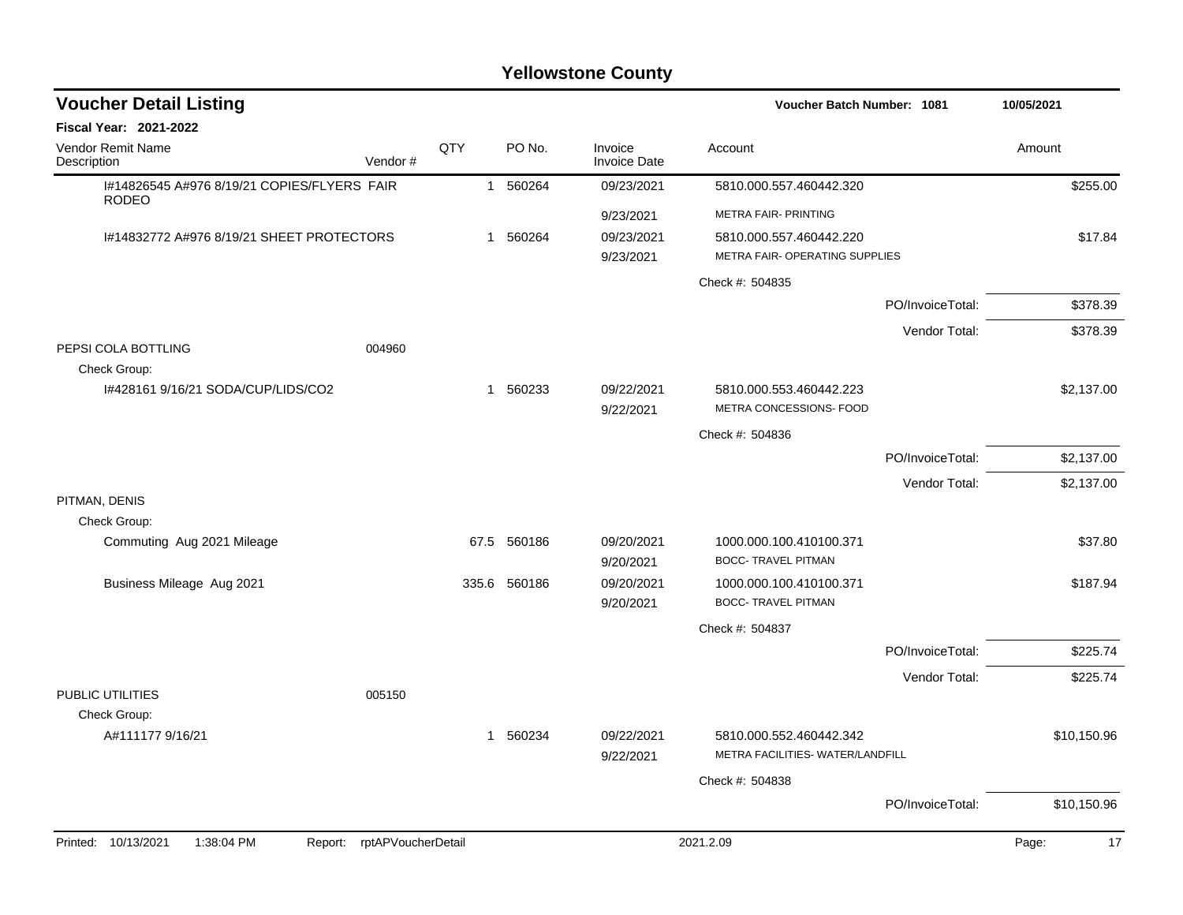| <b>Voucher Detail Listing</b>                               |                               |     |              | 10/05/2021                     |                                                    |                  |             |
|-------------------------------------------------------------|-------------------------------|-----|--------------|--------------------------------|----------------------------------------------------|------------------|-------------|
| <b>Fiscal Year: 2021-2022</b>                               |                               |     |              |                                |                                                    |                  |             |
| Vendor Remit Name<br>Description                            | Vendor#                       | QTY | PO No.       | Invoice<br><b>Invoice Date</b> | Account                                            |                  | Amount      |
| 1#14826545 A#976 8/19/21 COPIES/FLYERS FAIR<br><b>RODEO</b> |                               |     | 1 560264     | 09/23/2021                     | 5810.000.557.460442.320                            |                  | \$255.00    |
|                                                             |                               |     |              | 9/23/2021                      | METRA FAIR- PRINTING                               |                  |             |
| 1#14832772 A#976 8/19/21 SHEET PROTECTORS                   |                               |     | 1 560264     | 09/23/2021                     | 5810.000.557.460442.220                            |                  | \$17.84     |
|                                                             |                               |     |              | 9/23/2021                      | METRA FAIR- OPERATING SUPPLIES                     |                  |             |
|                                                             |                               |     |              |                                | Check #: 504835                                    |                  |             |
|                                                             |                               |     |              |                                |                                                    | PO/InvoiceTotal: | \$378.39    |
|                                                             |                               |     |              |                                |                                                    | Vendor Total:    | \$378.39    |
| PEPSI COLA BOTTLING                                         | 004960                        |     |              |                                |                                                    |                  |             |
| Check Group:                                                |                               |     |              |                                |                                                    |                  |             |
| I#428161 9/16/21 SODA/CUP/LIDS/CO2                          |                               |     | 1 560233     | 09/22/2021<br>9/22/2021        | 5810.000.553.460442.223<br>METRA CONCESSIONS- FOOD |                  | \$2,137.00  |
|                                                             |                               |     |              |                                | Check #: 504836                                    |                  |             |
|                                                             |                               |     |              |                                |                                                    | PO/InvoiceTotal: | \$2,137.00  |
|                                                             |                               |     |              |                                |                                                    |                  |             |
| PITMAN, DENIS                                               |                               |     |              |                                |                                                    | Vendor Total:    | \$2,137.00  |
| Check Group:                                                |                               |     |              |                                |                                                    |                  |             |
| Commuting Aug 2021 Mileage                                  |                               |     | 67.5 560186  | 09/20/2021                     | 1000.000.100.410100.371                            |                  | \$37.80     |
|                                                             |                               |     |              | 9/20/2021                      | <b>BOCC- TRAVEL PITMAN</b>                         |                  |             |
| Business Mileage Aug 2021                                   |                               |     | 335.6 560186 | 09/20/2021                     | 1000.000.100.410100.371                            |                  | \$187.94    |
|                                                             |                               |     |              | 9/20/2021                      | <b>BOCC- TRAVEL PITMAN</b>                         |                  |             |
|                                                             |                               |     |              |                                | Check #: 504837                                    |                  |             |
|                                                             |                               |     |              |                                |                                                    | PO/InvoiceTotal: | \$225.74    |
|                                                             |                               |     |              |                                |                                                    | Vendor Total:    | \$225.74    |
| PUBLIC UTILITIES<br>Check Group:                            | 005150                        |     |              |                                |                                                    |                  |             |
| A#111177 9/16/21                                            |                               |     | 1 560234     | 09/22/2021                     | 5810.000.552.460442.342                            |                  | \$10,150.96 |
|                                                             |                               |     |              | 9/22/2021                      | METRA FACILITIES- WATER/LANDFILL                   |                  |             |
|                                                             |                               |     |              |                                | Check #: 504838                                    |                  |             |
|                                                             |                               |     |              |                                |                                                    | PO/InvoiceTotal: | \$10,150.96 |
|                                                             |                               |     |              |                                |                                                    |                  |             |
| Printed: 10/13/2021<br>1:38:04 PM                           | rptAPVoucherDetail<br>Report: |     |              |                                | 2021.2.09                                          |                  | 17<br>Page: |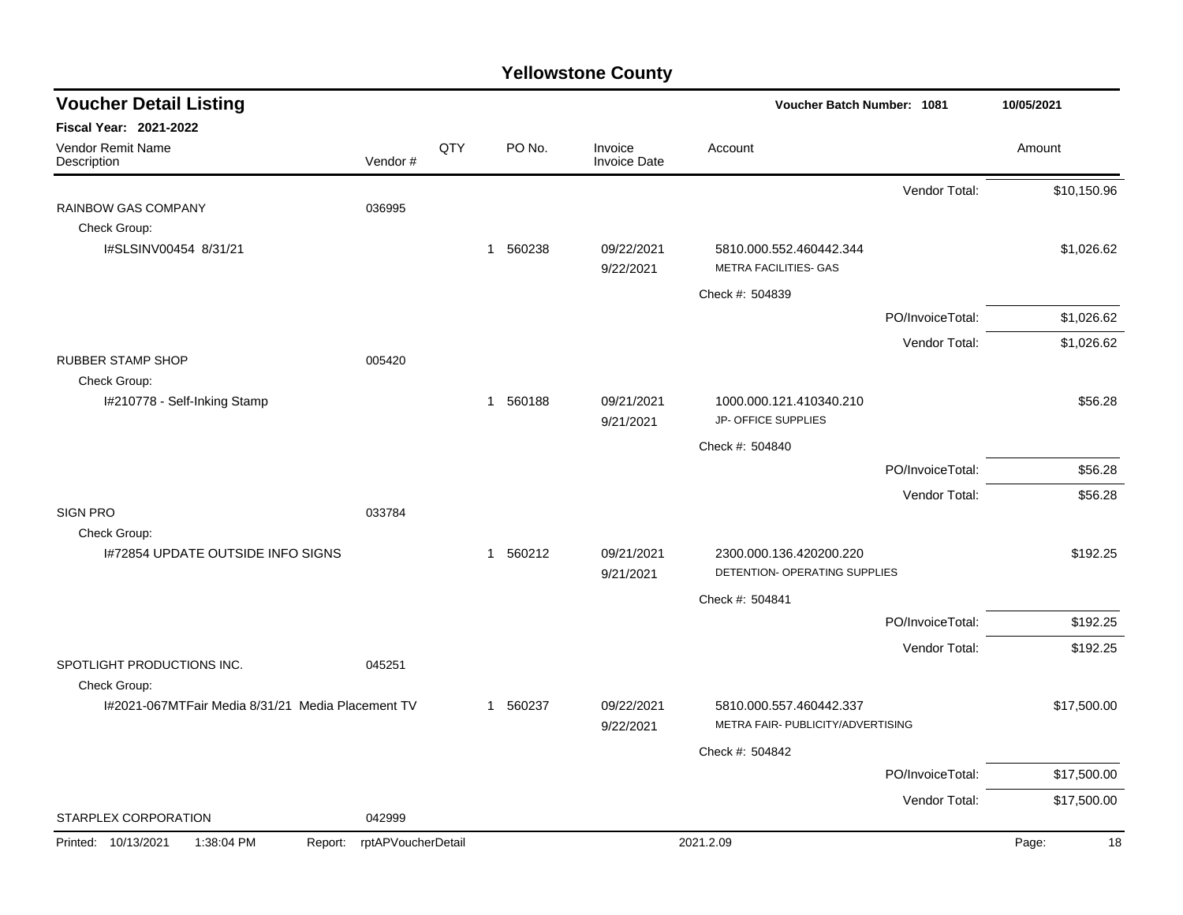| <b>Voucher Detail Listing</b>                                     |                    |     |                        |                                | <b>Voucher Batch Number: 1081</b>                            |                  | 10/05/2021  |
|-------------------------------------------------------------------|--------------------|-----|------------------------|--------------------------------|--------------------------------------------------------------|------------------|-------------|
| <b>Fiscal Year: 2021-2022</b><br>Vendor Remit Name<br>Description | Vendor#            | QTY | PO No.                 | Invoice<br><b>Invoice Date</b> | Account                                                      |                  | Amount      |
|                                                                   |                    |     |                        |                                |                                                              | Vendor Total:    | \$10,150.96 |
| RAINBOW GAS COMPANY<br>Check Group:                               | 036995             |     |                        |                                |                                                              |                  |             |
| I#SLSINV00454 8/31/21                                             |                    |     | 1 560238               | 09/22/2021<br>9/22/2021        | 5810.000.552.460442.344<br>METRA FACILITIES- GAS             |                  | \$1,026.62  |
|                                                                   |                    |     |                        |                                | Check #: 504839                                              |                  |             |
|                                                                   |                    |     |                        |                                |                                                              | PO/InvoiceTotal: | \$1,026.62  |
|                                                                   |                    |     |                        |                                |                                                              | Vendor Total:    | \$1,026.62  |
| <b>RUBBER STAMP SHOP</b>                                          | 005420             |     |                        |                                |                                                              |                  |             |
| Check Group:<br>I#210778 - Self-Inking Stamp                      |                    |     | 1 560188               | 09/21/2021<br>9/21/2021        | 1000.000.121.410340.210<br>JP- OFFICE SUPPLIES               |                  | \$56.28     |
|                                                                   |                    |     |                        |                                | Check #: 504840                                              |                  |             |
|                                                                   |                    |     |                        |                                |                                                              | PO/InvoiceTotal: | \$56.28     |
|                                                                   |                    |     |                        |                                |                                                              | Vendor Total:    | \$56.28     |
| <b>SIGN PRO</b>                                                   | 033784             |     |                        |                                |                                                              |                  |             |
| Check Group:<br>1#72854 UPDATE OUTSIDE INFO SIGNS                 |                    |     | 560212<br>$\mathbf{1}$ | 09/21/2021<br>9/21/2021        | 2300.000.136.420200.220<br>DETENTION- OPERATING SUPPLIES     |                  | \$192.25    |
|                                                                   |                    |     |                        |                                | Check #: 504841                                              |                  |             |
|                                                                   |                    |     |                        |                                |                                                              | PO/InvoiceTotal: | \$192.25    |
|                                                                   |                    |     |                        |                                |                                                              | Vendor Total:    | \$192.25    |
| SPOTLIGHT PRODUCTIONS INC.<br>Check Group:                        | 045251             |     |                        |                                |                                                              |                  |             |
| 1#2021-067MTFair Media 8/31/21 Media Placement TV                 |                    |     | 560237<br>-1           | 09/22/2021<br>9/22/2021        | 5810.000.557.460442.337<br>METRA FAIR- PUBLICITY/ADVERTISING |                  | \$17,500.00 |
|                                                                   |                    |     |                        |                                | Check #: 504842                                              |                  |             |
|                                                                   |                    |     |                        |                                |                                                              | PO/InvoiceTotal: | \$17,500.00 |
|                                                                   |                    |     |                        |                                |                                                              | Vendor Total:    | \$17,500.00 |
| STARPLEX CORPORATION                                              | 042999             |     |                        |                                |                                                              |                  |             |
| Printed: 10/13/2021<br>1:38:04 PM<br>Report:                      | rptAPVoucherDetail |     |                        |                                | 2021.2.09                                                    |                  | Page:<br>18 |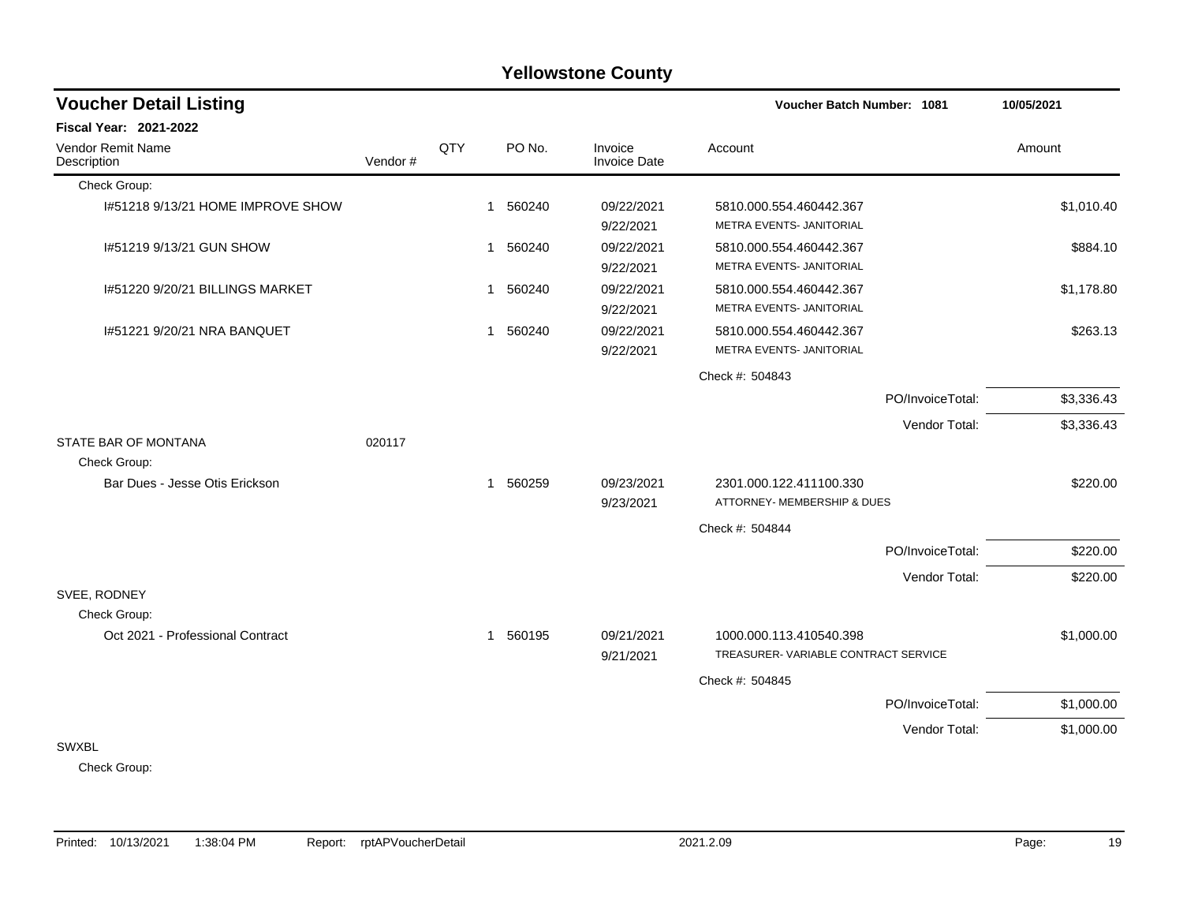#### Check Group: I#51218 9/13/21 HOME IMPROVE SHOW 1 560240 09/22/2021 5810.000.554.460442.367 \$1,010.40 9/22/2021 METRA EVENTS- JANITORIAL I#51219 9/13/21 GUN SHOW 1 560240 09/22/2021 5810.000.554.460442.367 \$884.10 9/22/2021 METRA EVENTS- JANITORIAL I#51220 9/20/21 BILLINGS MARKET 1 1 560240 09/22/2021 5810.000.554.460442.367 \$1,178.80 9/22/2021 METRA EVENTS- JANITORIAL I#51221 9/20/21 NRA BANQUET 1 1 560240 09/22/2021 5810.000.554.460442.367 5810.000 554.460442.367 9/22/2021 METRA EVENTS- JANITORIAL Check #: 504843 PO/InvoiceTotal: \$3,336.43 Vendor Total: \$3,336.43 STATE BAR OF MONTANA 020117 Check Group: Bar Dues - Jesse Otis Erickson 1 1 560259 09/23/2021 2301.000.122.411100.330 \$220.00 9/23/2021 ATTORNEY- MEMBERSHIP & DUES Check #: 504844 PO/InvoiceTotal: \$220.00 Vendor Total: \$220.00 SVEE, RODNEY Check Group: Oct 2021 - Professional Contract 1 1 560195 09/21/2021 1000.000.113.410540.398 \$1,000.00 9/21/2021 TREASURER- VARIABLE CONTRACT SERVICE Check #: 504845 PO/InvoiceTotal: \$1,000.00 Vendor Total: \$1,000.00 SWXBL **Voucher Batch Number: Yellowstone County** Vendor Remit Name Description **Voucher Detail Listing Fiscal Year: 2021-2022 1081 10/05/2021** PO No. Invoice Account Amount Amount Amount Amount Vendor # **QTY** Invoice Date

#### Check Group: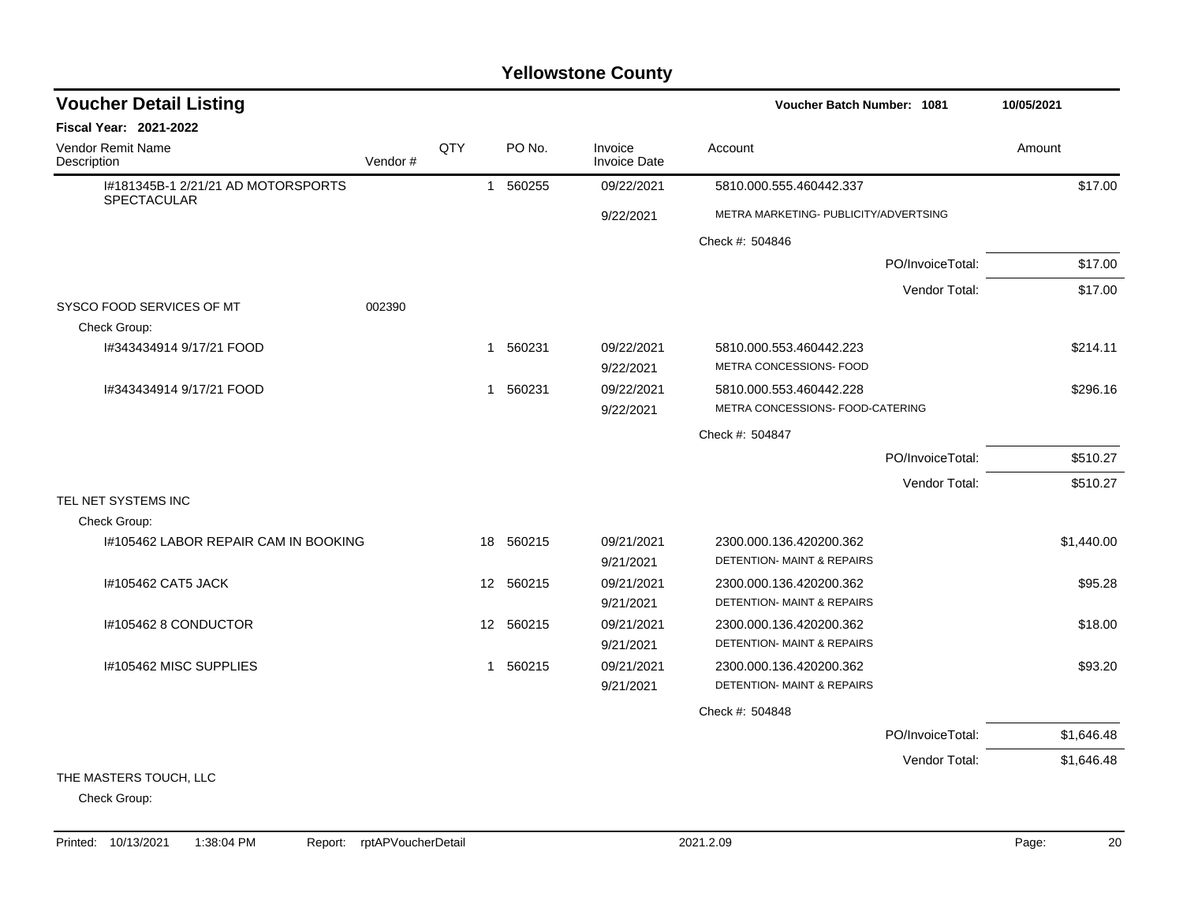| <b>Voucher Detail Listing</b>                     |         |                  |           |                                | <b>Voucher Batch Number: 1081</b>     | 10/05/2021       |            |
|---------------------------------------------------|---------|------------------|-----------|--------------------------------|---------------------------------------|------------------|------------|
| Fiscal Year: 2021-2022                            |         |                  |           |                                |                                       |                  |            |
| <b>Vendor Remit Name</b><br>Description           | Vendor# | QTY              | PO No.    | Invoice<br><b>Invoice Date</b> | Account                               |                  | Amount     |
| I#181345B-1 2/21/21 AD MOTORSPORTS<br>SPECTACULAR |         |                  | 1 560255  | 09/22/2021                     | 5810.000.555.460442.337               |                  | \$17.00    |
|                                                   |         |                  |           | 9/22/2021                      | METRA MARKETING- PUBLICITY/ADVERTSING |                  |            |
|                                                   |         |                  |           |                                | Check #: 504846                       |                  |            |
|                                                   |         |                  |           |                                |                                       | PO/InvoiceTotal: | \$17.00    |
|                                                   |         |                  |           |                                |                                       | Vendor Total:    | \$17.00    |
| SYSCO FOOD SERVICES OF MT<br>Check Group:         | 002390  |                  |           |                                |                                       |                  |            |
| I#343434914 9/17/21 FOOD                          |         |                  | 1 560231  | 09/22/2021                     | 5810.000.553.460442.223               |                  | \$214.11   |
|                                                   |         |                  |           | 9/22/2021                      | METRA CONCESSIONS- FOOD               |                  |            |
| I#343434914 9/17/21 FOOD                          |         | 1                | 560231    | 09/22/2021                     | 5810.000.553.460442.228               |                  | \$296.16   |
|                                                   |         |                  |           | 9/22/2021                      | METRA CONCESSIONS- FOOD-CATERING      |                  |            |
|                                                   |         |                  |           |                                | Check #: 504847                       |                  |            |
|                                                   |         |                  |           |                                |                                       | PO/InvoiceTotal: | \$510.27   |
|                                                   |         |                  |           |                                |                                       | Vendor Total:    | \$510.27   |
| TEL NET SYSTEMS INC<br>Check Group:               |         |                  |           |                                |                                       |                  |            |
| 1#105462 LABOR REPAIR CAM IN BOOKING              |         | 18               | 560215    | 09/21/2021                     | 2300.000.136.420200.362               |                  | \$1,440.00 |
|                                                   |         |                  |           | 9/21/2021                      | <b>DETENTION- MAINT &amp; REPAIRS</b> |                  |            |
| I#105462 CAT5 JACK                                |         |                  | 12 560215 | 09/21/2021                     | 2300.000.136.420200.362               |                  | \$95.28    |
|                                                   |         |                  |           | 9/21/2021                      | DETENTION- MAINT & REPAIRS            |                  |            |
| I#105462 8 CONDUCTOR                              |         | 12 <sup>12</sup> | 560215    | 09/21/2021                     | 2300.000.136.420200.362               |                  | \$18.00    |
|                                                   |         |                  |           | 9/21/2021                      | DETENTION- MAINT & REPAIRS            |                  |            |
| I#105462 MISC SUPPLIES                            |         | 1                | 560215    | 09/21/2021                     | 2300.000.136.420200.362               |                  | \$93.20    |
|                                                   |         |                  |           | 9/21/2021                      | DETENTION- MAINT & REPAIRS            |                  |            |
|                                                   |         |                  |           |                                | Check #: 504848                       |                  |            |
|                                                   |         |                  |           |                                |                                       | PO/InvoiceTotal: | \$1,646.48 |
|                                                   |         |                  |           |                                |                                       | Vendor Total:    | \$1,646.48 |
| THE MASTERS TOUCH, LLC                            |         |                  |           |                                |                                       |                  |            |
| Check Group:                                      |         |                  |           |                                |                                       |                  |            |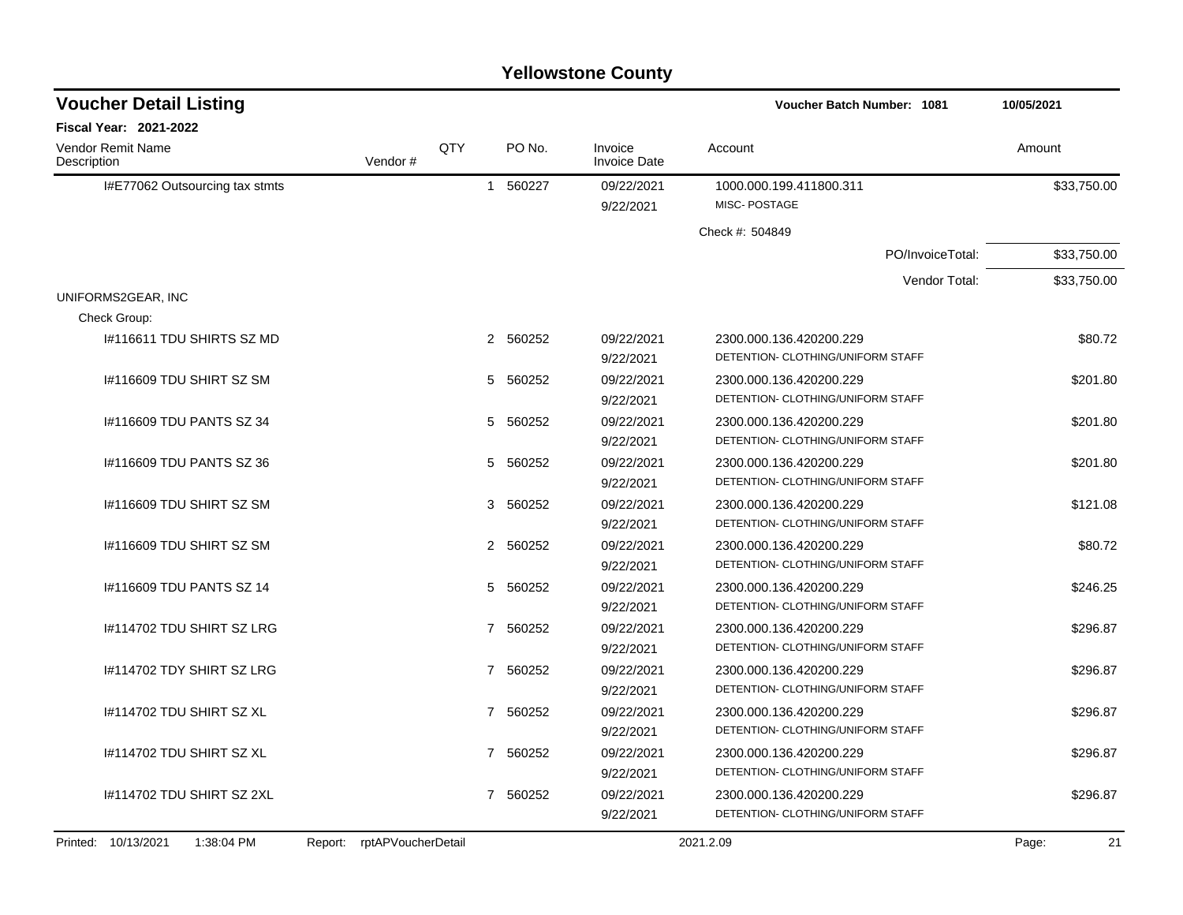| <b>Yellowstone County</b> |  |
|---------------------------|--|
|---------------------------|--|

| <b>Voucher Detail Listing</b>     |                            |                |          |                                | <b>Voucher Batch Number: 1081</b>       | 10/05/2021  |
|-----------------------------------|----------------------------|----------------|----------|--------------------------------|-----------------------------------------|-------------|
| <b>Fiscal Year: 2021-2022</b>     |                            |                |          |                                |                                         |             |
| Vendor Remit Name<br>Description  | Vendor#                    | QTY            | PO No.   | Invoice<br><b>Invoice Date</b> | Account                                 | Amount      |
| I#E77062 Outsourcing tax stmts    |                            | $\mathbf{1}$   | 560227   | 09/22/2021<br>9/22/2021        | 1000.000.199.411800.311<br>MISC-POSTAGE | \$33,750.00 |
|                                   |                            |                |          |                                | Check #: 504849                         |             |
|                                   |                            |                |          |                                | PO/InvoiceTotal:                        | \$33,750.00 |
|                                   |                            |                |          |                                | Vendor Total:                           | \$33,750.00 |
| UNIFORMS2GEAR, INC                |                            |                |          |                                |                                         |             |
| Check Group:                      |                            |                |          |                                |                                         |             |
| I#116611 TDU SHIRTS SZ MD         |                            | $\mathbf{2}$   | 560252   | 09/22/2021                     | 2300.000.136.420200.229                 | \$80.72     |
|                                   |                            |                |          | 9/22/2021                      | DETENTION- CLOTHING/UNIFORM STAFF       |             |
| I#116609 TDU SHIRT SZ SM          |                            | 5              | 560252   | 09/22/2021                     | 2300.000.136.420200.229                 | \$201.80    |
|                                   |                            |                |          | 9/22/2021                      | DETENTION- CLOTHING/UNIFORM STAFF       |             |
| 1#116609 TDU PANTS SZ 34          |                            | 5              | 560252   | 09/22/2021                     | 2300.000.136.420200.229                 | \$201.80    |
|                                   |                            |                |          | 9/22/2021                      | DETENTION- CLOTHING/UNIFORM STAFF       |             |
| #116609 TDU PANTS SZ 36           |                            | 5              | 560252   | 09/22/2021                     | 2300.000.136.420200.229                 | \$201.80    |
|                                   |                            |                |          | 9/22/2021                      | DETENTION- CLOTHING/UNIFORM STAFF       |             |
| I#116609 TDU SHIRT SZ SM          |                            | 3              | 560252   | 09/22/2021                     | 2300.000.136.420200.229                 | \$121.08    |
|                                   |                            |                |          | 9/22/2021                      | DETENTION- CLOTHING/UNIFORM STAFF       |             |
| I#116609 TDU SHIRT SZ SM          |                            |                | 2 560252 | 09/22/2021                     | 2300.000.136.420200.229                 | \$80.72     |
|                                   |                            |                |          | 9/22/2021                      | DETENTION- CLOTHING/UNIFORM STAFF       |             |
| #116609 TDU PANTS SZ 14           |                            | 5              | 560252   | 09/22/2021                     | 2300.000.136.420200.229                 | \$246.25    |
|                                   |                            |                |          | 9/22/2021                      | DETENTION- CLOTHING/UNIFORM STAFF       |             |
| #114702 TDU SHIRT SZ LRG          |                            | $\overline{7}$ | 560252   | 09/22/2021                     | 2300.000.136.420200.229                 | \$296.87    |
|                                   |                            |                |          | 9/22/2021                      | DETENTION- CLOTHING/UNIFORM STAFF       |             |
| I#114702 TDY SHIRT SZ LRG         |                            | $\overline{7}$ | 560252   | 09/22/2021                     | 2300.000.136.420200.229                 | \$296.87    |
|                                   |                            |                |          | 9/22/2021                      | DETENTION- CLOTHING/UNIFORM STAFF       |             |
| I#114702 TDU SHIRT SZ XL          |                            | $\overline{7}$ | 560252   | 09/22/2021                     | 2300.000.136.420200.229                 | \$296.87    |
|                                   |                            |                |          | 9/22/2021                      | DETENTION- CLOTHING/UNIFORM STAFF       |             |
| I#114702 TDU SHIRT SZ XL          |                            | $\overline{7}$ | 560252   | 09/22/2021                     | 2300.000.136.420200.229                 | \$296.87    |
|                                   |                            |                |          | 9/22/2021                      | DETENTION- CLOTHING/UNIFORM STAFF       |             |
| 1#114702 TDU SHIRT SZ 2XL         |                            | $\overline{7}$ | 560252   | 09/22/2021                     | 2300.000.136.420200.229                 | \$296.87    |
|                                   |                            |                |          | 9/22/2021                      | DETENTION- CLOTHING/UNIFORM STAFF       |             |
| Printed: 10/13/2021<br>1:38:04 PM | Report: rptAPVoucherDetail |                |          |                                | 2021.2.09                               | 21<br>Page: |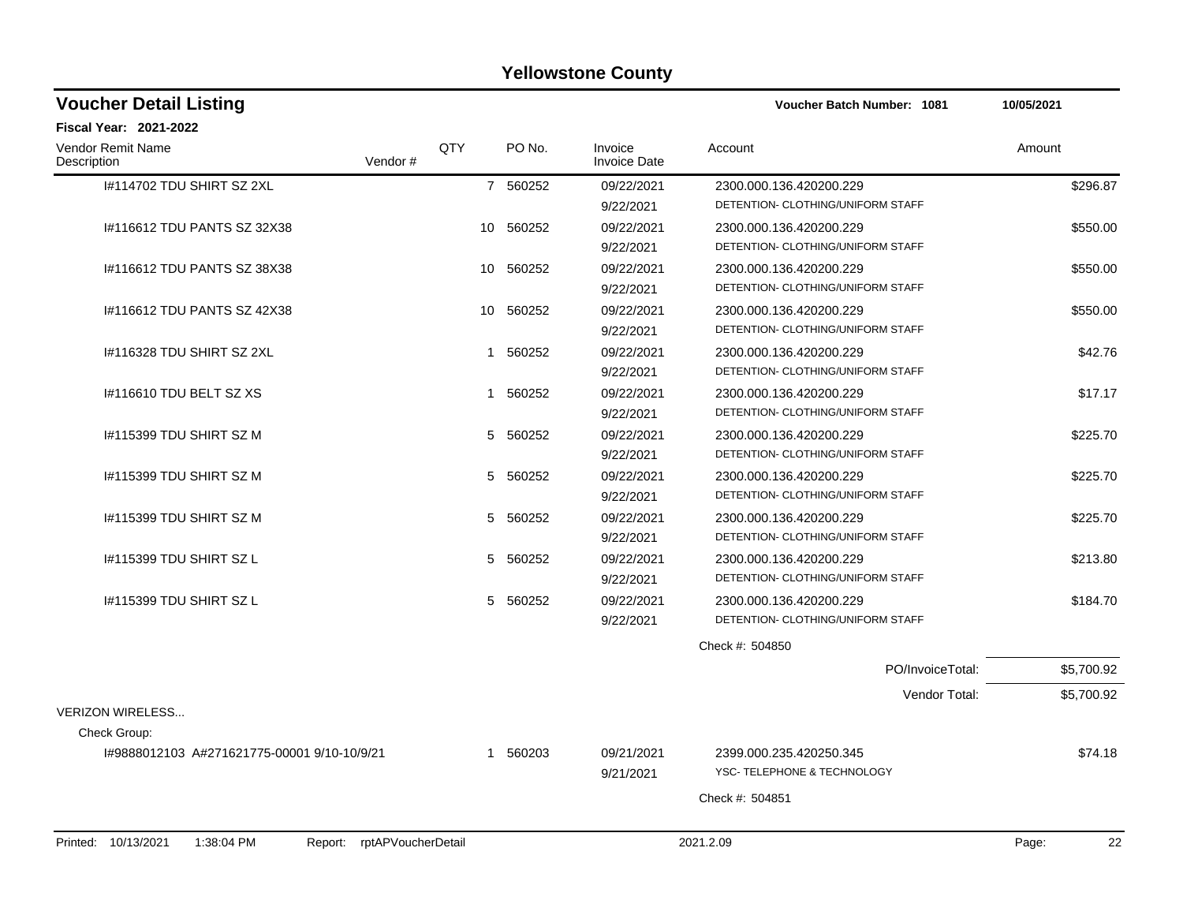| <b>Voucher Detail Listing</b>                                      |              |           |                                | Voucher Batch Number: 1081                             | 10/05/2021  |
|--------------------------------------------------------------------|--------------|-----------|--------------------------------|--------------------------------------------------------|-------------|
| <b>Fiscal Year: 2021-2022</b>                                      |              |           |                                |                                                        |             |
| Vendor Remit Name<br>Description<br>Vendor#                        | QTY          | PO No.    | Invoice<br><b>Invoice Date</b> | Account                                                | Amount      |
| 1#114702 TDU SHIRT SZ 2XL                                          |              | 7 560252  | 09/22/2021                     | 2300.000.136.420200.229                                | \$296.87    |
|                                                                    |              |           | 9/22/2021                      | DETENTION- CLOTHING/UNIFORM STAFF                      |             |
| #116612 TDU PANTS SZ 32X38                                         |              | 10 560252 | 09/22/2021                     | 2300.000.136.420200.229                                | \$550.00    |
|                                                                    |              |           | 9/22/2021                      | DETENTION- CLOTHING/UNIFORM STAFF                      |             |
| 1#116612 TDU PANTS SZ 38X38                                        |              | 10 560252 | 09/22/2021                     | 2300.000.136.420200.229                                | \$550.00    |
|                                                                    |              |           | 9/22/2021                      | DETENTION- CLOTHING/UNIFORM STAFF                      |             |
| #116612 TDU PANTS SZ 42X38                                         | 10           | 560252    | 09/22/2021                     | 2300.000.136.420200.229                                | \$550.00    |
|                                                                    |              |           | 9/22/2021                      | DETENTION- CLOTHING/UNIFORM STAFF                      |             |
| 1#116328 TDU SHIRT SZ 2XL                                          | $\mathbf{1}$ | 560252    | 09/22/2021                     | 2300.000.136.420200.229                                | \$42.76     |
|                                                                    |              |           | 9/22/2021                      | DETENTION- CLOTHING/UNIFORM STAFF                      |             |
| 1#116610 TDU BELT SZ XS                                            |              | 1 560252  | 09/22/2021                     | 2300.000.136.420200.229                                | \$17.17     |
|                                                                    |              |           | 9/22/2021                      | DETENTION- CLOTHING/UNIFORM STAFF                      |             |
| 1#115399 TDU SHIRT SZ M                                            | 5            | 560252    | 09/22/2021                     | 2300.000.136.420200.229                                | \$225.70    |
|                                                                    |              |           | 9/22/2021                      | DETENTION- CLOTHING/UNIFORM STAFF                      |             |
| I#115399 TDU SHIRT SZ M                                            | 5            | 560252    | 09/22/2021                     | 2300.000.136.420200.229                                | \$225.70    |
|                                                                    |              |           | 9/22/2021                      | DETENTION- CLOTHING/UNIFORM STAFF                      |             |
| 1#115399 TDU SHIRT SZ M                                            | 5            | 560252    | 09/22/2021                     | 2300.000.136.420200.229                                | \$225.70    |
|                                                                    |              |           | 9/22/2021                      | DETENTION- CLOTHING/UNIFORM STAFF                      |             |
| 1#115399 TDU SHIRT SZ L                                            | 5            | 560252    | 09/22/2021                     | 2300.000.136.420200.229                                | \$213.80    |
|                                                                    |              |           | 9/22/2021                      | DETENTION- CLOTHING/UNIFORM STAFF                      |             |
| 1#115399 TDU SHIRT SZ L                                            |              | 5 560252  | 09/22/2021                     | 2300.000.136.420200.229                                | \$184.70    |
|                                                                    |              |           | 9/22/2021                      | DETENTION- CLOTHING/UNIFORM STAFF                      |             |
|                                                                    |              |           |                                | Check #: 504850                                        |             |
|                                                                    |              |           |                                | PO/InvoiceTotal:                                       | \$5,700.92  |
|                                                                    |              |           |                                | Vendor Total:                                          | \$5,700.92  |
| <b>VERIZON WIRELESS</b><br>Check Group:                            |              |           |                                |                                                        |             |
|                                                                    |              |           |                                |                                                        |             |
| I#9888012103 A#271621775-00001 9/10-10/9/21                        |              | 1 560203  | 09/21/2021                     | 2399.000.235.420250.345<br>YSC- TELEPHONE & TECHNOLOGY | \$74.18     |
|                                                                    |              |           | 9/21/2021                      |                                                        |             |
|                                                                    |              |           |                                | Check #: 504851                                        |             |
| Printed: 10/13/2021<br>1:38:04 PM<br>rptAPVoucherDetail<br>Report: |              |           |                                | 2021.2.09                                              | Page:<br>22 |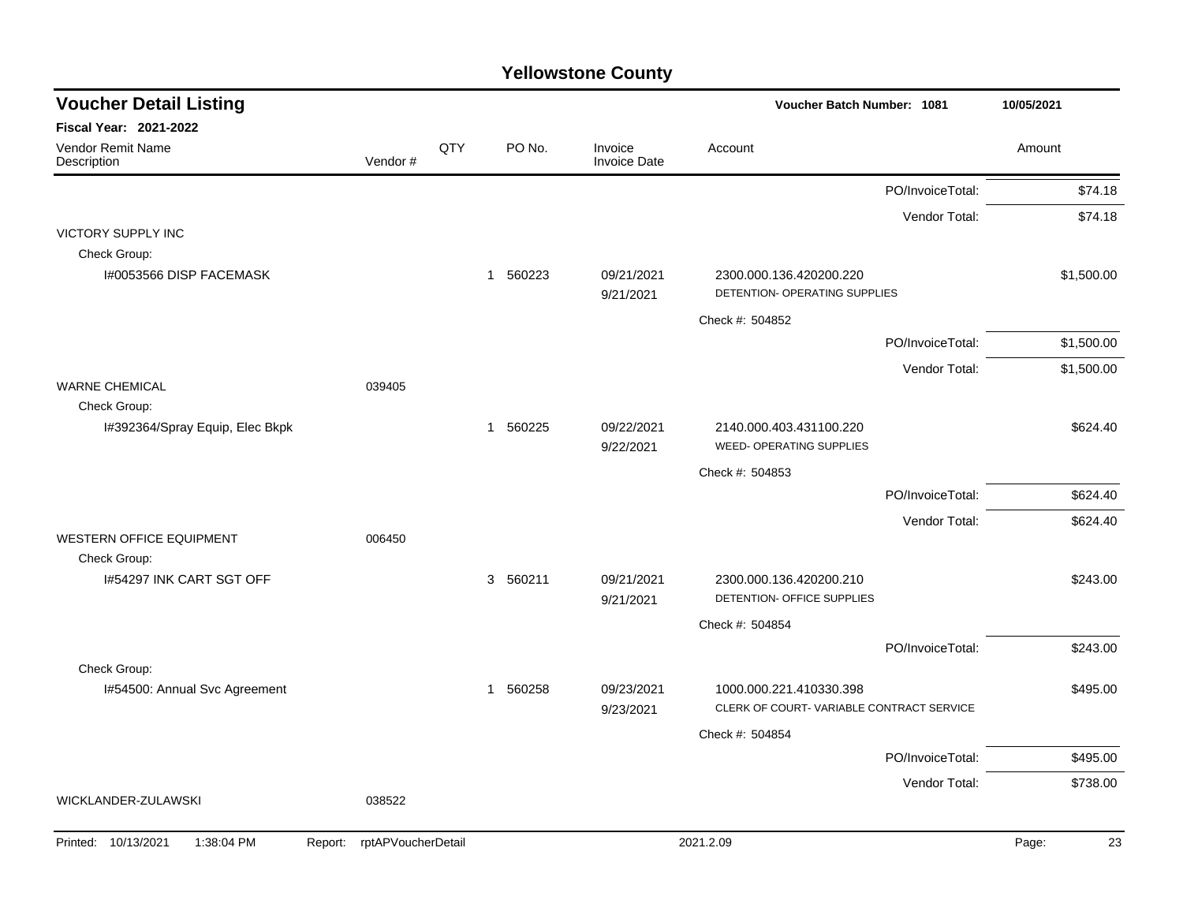| <b>Voucher Detail Listing</b>           |                               |     |                        |                                | <b>Voucher Batch Number: 1081</b>                          |                  | 10/05/2021  |
|-----------------------------------------|-------------------------------|-----|------------------------|--------------------------------|------------------------------------------------------------|------------------|-------------|
| <b>Fiscal Year: 2021-2022</b>           |                               |     |                        |                                |                                                            |                  |             |
| Vendor Remit Name<br>Description        | Vendor#                       | QTY | PO No.                 | Invoice<br><b>Invoice Date</b> | Account                                                    |                  | Amount      |
|                                         |                               |     |                        |                                |                                                            | PO/InvoiceTotal: | \$74.18     |
|                                         |                               |     |                        |                                |                                                            | Vendor Total:    | \$74.18     |
| <b>VICTORY SUPPLY INC</b>               |                               |     |                        |                                |                                                            |                  |             |
| Check Group:<br>I#0053566 DISP FACEMASK |                               |     | 560223<br>$\mathbf{1}$ | 09/21/2021                     | 2300.000.136.420200.220                                    |                  | \$1,500.00  |
|                                         |                               |     |                        | 9/21/2021                      | DETENTION- OPERATING SUPPLIES                              |                  |             |
|                                         |                               |     |                        |                                | Check #: 504852                                            |                  |             |
|                                         |                               |     |                        |                                |                                                            | PO/InvoiceTotal: | \$1,500.00  |
|                                         |                               |     |                        |                                |                                                            | Vendor Total:    | \$1,500.00  |
| <b>WARNE CHEMICAL</b>                   | 039405                        |     |                        |                                |                                                            |                  |             |
| Check Group:                            |                               |     |                        |                                |                                                            |                  |             |
| I#392364/Spray Equip, Elec Bkpk         |                               |     | 1 560225               | 09/22/2021<br>9/22/2021        | 2140.000.403.431100.220<br><b>WEED- OPERATING SUPPLIES</b> |                  | \$624.40    |
|                                         |                               |     |                        |                                | Check #: 504853                                            |                  |             |
|                                         |                               |     |                        |                                |                                                            | PO/InvoiceTotal: | \$624.40    |
|                                         |                               |     |                        |                                |                                                            | Vendor Total:    | \$624.40    |
| <b>WESTERN OFFICE EQUIPMENT</b>         | 006450                        |     |                        |                                |                                                            |                  |             |
| Check Group:                            |                               |     |                        |                                |                                                            |                  |             |
| I#54297 INK CART SGT OFF                |                               |     | 3 560211               | 09/21/2021<br>9/21/2021        | 2300.000.136.420200.210<br>DETENTION- OFFICE SUPPLIES      |                  | \$243.00    |
|                                         |                               |     |                        |                                | Check #: 504854                                            |                  |             |
|                                         |                               |     |                        |                                |                                                            | PO/InvoiceTotal: | \$243.00    |
| Check Group:                            |                               |     |                        |                                |                                                            |                  |             |
| I#54500: Annual Svc Agreement           |                               |     | 1 560258               | 09/23/2021                     | 1000.000.221.410330.398                                    |                  | \$495.00    |
|                                         |                               |     |                        | 9/23/2021                      | CLERK OF COURT-VARIABLE CONTRACT SERVICE                   |                  |             |
|                                         |                               |     |                        |                                | Check #: 504854                                            |                  |             |
|                                         |                               |     |                        |                                |                                                            | PO/InvoiceTotal: | \$495.00    |
| WICKLANDER-ZULAWSKI                     | 038522                        |     |                        |                                |                                                            | Vendor Total:    | \$738.00    |
|                                         |                               |     |                        |                                |                                                            |                  |             |
| 10/13/2021<br>1:38:04 PM<br>Printed:    | rptAPVoucherDetail<br>Report: |     |                        |                                | 2021.2.09                                                  |                  | Page:<br>23 |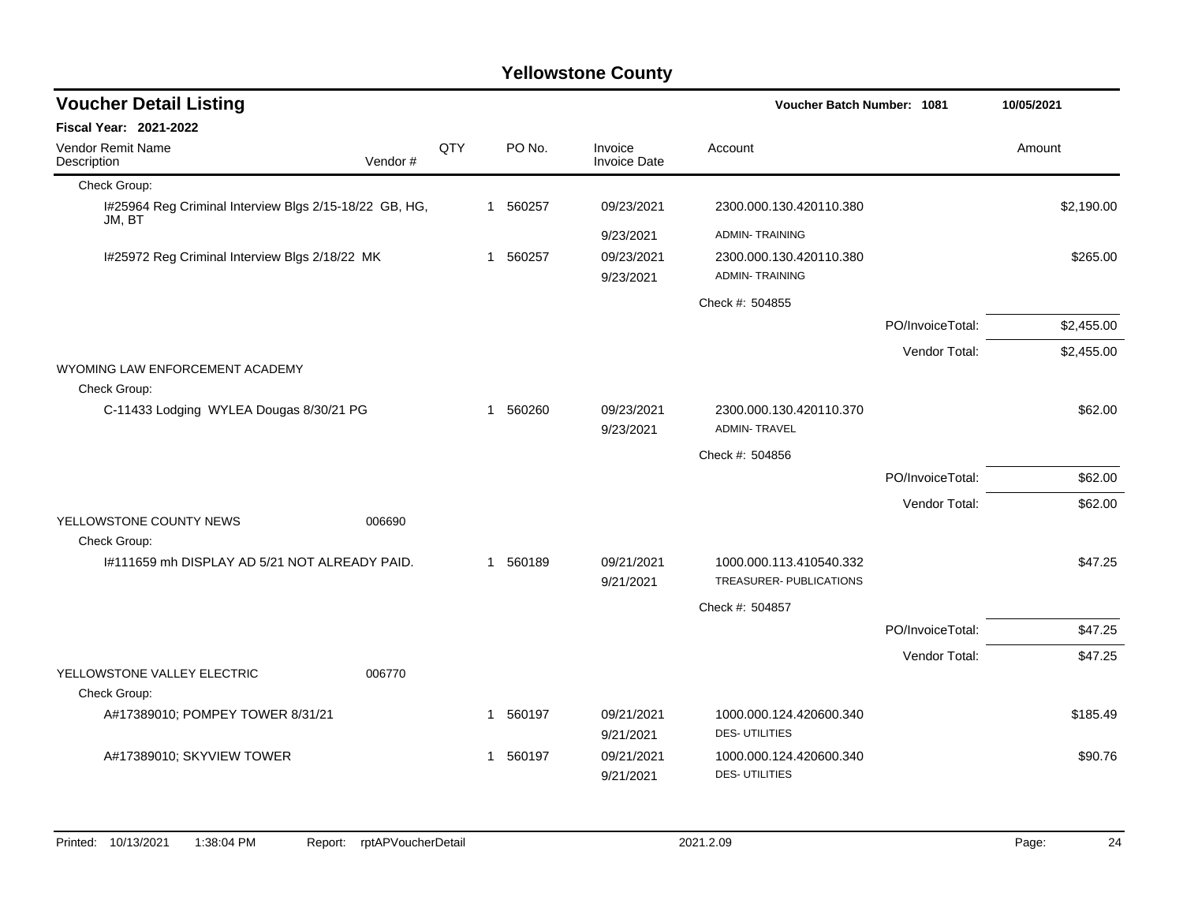| <b>Voucher Detail Listing</b>                                    |         |     |                |          |                                | Voucher Batch Number: 1081                         |                  | 10/05/2021 |  |
|------------------------------------------------------------------|---------|-----|----------------|----------|--------------------------------|----------------------------------------------------|------------------|------------|--|
| Fiscal Year: 2021-2022                                           |         |     |                |          |                                |                                                    |                  |            |  |
| Vendor Remit Name<br>Description                                 | Vendor# | QTY |                | PO No.   | Invoice<br><b>Invoice Date</b> | Account                                            |                  | Amount     |  |
| Check Group:                                                     |         |     |                |          |                                |                                                    |                  |            |  |
| I#25964 Reg Criminal Interview Blgs 2/15-18/22 GB, HG,<br>JM, BT |         |     |                | 1 560257 | 09/23/2021                     | 2300.000.130.420110.380                            |                  | \$2,190.00 |  |
|                                                                  |         |     |                |          | 9/23/2021                      | <b>ADMIN-TRAINING</b>                              |                  |            |  |
| I#25972 Reg Criminal Interview Blgs 2/18/22 MK                   |         |     | $\overline{1}$ | 560257   | 09/23/2021                     | 2300.000.130.420110.380                            |                  | \$265.00   |  |
|                                                                  |         |     |                |          | 9/23/2021                      | <b>ADMIN-TRAINING</b>                              |                  |            |  |
|                                                                  |         |     |                |          |                                | Check #: 504855                                    |                  |            |  |
|                                                                  |         |     |                |          |                                |                                                    | PO/InvoiceTotal: | \$2,455.00 |  |
|                                                                  |         |     |                |          |                                |                                                    | Vendor Total:    | \$2,455.00 |  |
| WYOMING LAW ENFORCEMENT ACADEMY                                  |         |     |                |          |                                |                                                    |                  |            |  |
| Check Group:                                                     |         |     |                |          |                                |                                                    |                  |            |  |
| C-11433 Lodging WYLEA Dougas 8/30/21 PG                          |         |     | -1             | 560260   | 09/23/2021                     | 2300.000.130.420110.370<br><b>ADMIN-TRAVEL</b>     |                  | \$62.00    |  |
|                                                                  |         |     |                |          | 9/23/2021                      |                                                    |                  |            |  |
|                                                                  |         |     |                |          |                                | Check #: 504856                                    |                  |            |  |
|                                                                  |         |     |                |          |                                |                                                    | PO/InvoiceTotal: | \$62.00    |  |
|                                                                  |         |     |                |          |                                |                                                    | Vendor Total:    | \$62.00    |  |
| YELLOWSTONE COUNTY NEWS                                          | 006690  |     |                |          |                                |                                                    |                  |            |  |
| Check Group:                                                     |         |     |                |          |                                |                                                    |                  |            |  |
| 1#111659 mh DISPLAY AD 5/21 NOT ALREADY PAID.                    |         |     |                | 1 560189 | 09/21/2021<br>9/21/2021        | 1000.000.113.410540.332<br>TREASURER- PUBLICATIONS |                  | \$47.25    |  |
|                                                                  |         |     |                |          |                                | Check #: 504857                                    |                  |            |  |
|                                                                  |         |     |                |          |                                |                                                    | PO/InvoiceTotal: | \$47.25    |  |
|                                                                  |         |     |                |          |                                |                                                    | Vendor Total:    | \$47.25    |  |
| YELLOWSTONE VALLEY ELECTRIC                                      | 006770  |     |                |          |                                |                                                    |                  |            |  |
| Check Group:                                                     |         |     |                |          |                                |                                                    |                  |            |  |
| A#17389010; POMPEY TOWER 8/31/21                                 |         |     |                | 1 560197 | 09/21/2021                     | 1000.000.124.420600.340                            |                  | \$185.49   |  |
|                                                                  |         |     |                |          | 9/21/2021                      | <b>DES-UTILITIES</b>                               |                  |            |  |
| A#17389010; SKYVIEW TOWER                                        |         |     | $\mathbf 1$    | 560197   | 09/21/2021                     | 1000.000.124.420600.340                            |                  | \$90.76    |  |
|                                                                  |         |     |                |          | 9/21/2021                      | <b>DES-UTILITIES</b>                               |                  |            |  |
|                                                                  |         |     |                |          |                                |                                                    |                  |            |  |